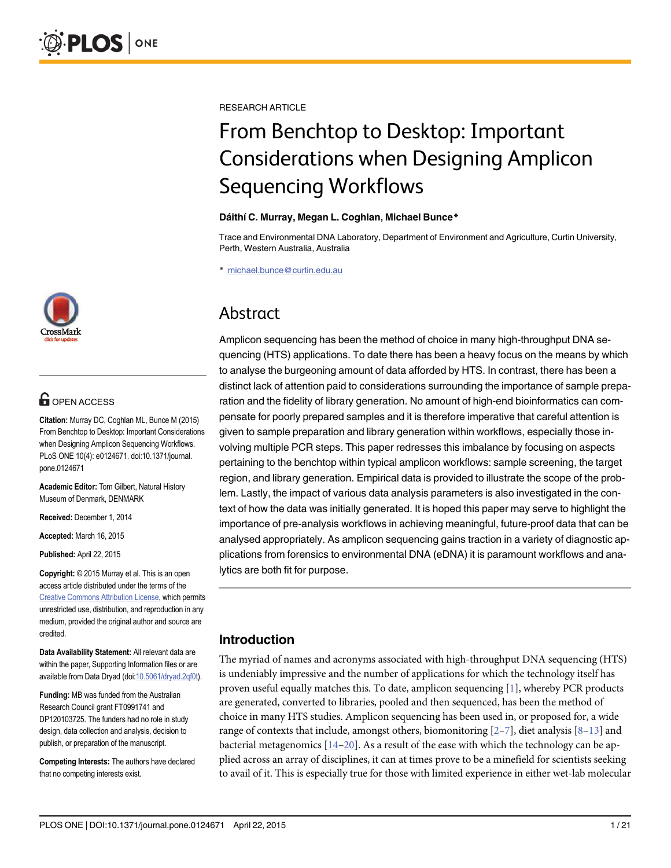

# **OPEN ACCESS**

Citation: Murray DC, Coghlan ML, Bunce M (2015) From Benchtop to Desktop: Important Considerations when Designing Amplicon Sequencing Workflows. PLoS ONE 10(4): e0124671. doi:10.1371/journal. pone.0124671

Academic Editor: Tom Gilbert, Natural History Museum of Denmark, DENMARK

Received: December 1, 2014

Accepted: March 16, 2015

Published: April 22, 2015

Copyright: © 2015 Murray et al. This is an open access article distributed under the terms of the [Creative Commons Attribution License,](http://creativecommons.org/licenses/by/4.0/) which permits unrestricted use, distribution, and reproduction in any medium, provided the original author and source are credited.

Data Availability Statement: All relevant data are within the paper, Supporting Information files or are available from Data Dryad (doi:[10.5061/dryad.2qf0t\)](http://dx.doi.org/10.5061/dryad.2qf0t).

Funding: MB was funded from the Australian Research Council grant FT0991741 and DP120103725. The funders had no role in study design, data collection and analysis, decision to publish, or preparation of the manuscript.

Competing Interests: The authors have declared that no competing interests exist.

<span id="page-0-0"></span>RESEARCH ARTICLE

# From Benchtop to Desktop: Important Considerations when Designing Amplicon Sequencing Workflows

#### Dáithí C. Murray, Megan L. Coghlan, Michael Bunce\*

Trace and Environmental DNA Laboratory, Department of Environment and Agriculture, Curtin University, Perth, Western Australia, Australia

\* michael.bunce@curtin.edu.au

# Abstract

Amplicon sequencing has been the method of choice in many high-throughput DNA sequencing (HTS) applications. To date there has been a heavy focus on the means by which to analyse the burgeoning amount of data afforded by HTS. In contrast, there has been a distinct lack of attention paid to considerations surrounding the importance of sample preparation and the fidelity of library generation. No amount of high-end bioinformatics can compensate for poorly prepared samples and it is therefore imperative that careful attention is given to sample preparation and library generation within workflows, especially those involving multiple PCR steps. This paper redresses this imbalance by focusing on aspects pertaining to the benchtop within typical amplicon workflows: sample screening, the target region, and library generation. Empirical data is provided to illustrate the scope of the problem. Lastly, the impact of various data analysis parameters is also investigated in the context of how the data was initially generated. It is hoped this paper may serve to highlight the importance of pre-analysis workflows in achieving meaningful, future-proof data that can be analysed appropriately. As amplicon sequencing gains traction in a variety of diagnostic applications from forensics to environmental DNA (eDNA) it is paramount workflows and analytics are both fit for purpose.

# Introduction

The myriad of names and acronyms associated with high-throughput DNA sequencing (HTS) is undeniably impressive and the number of applications for which the technology itself has proven useful equally matches this. To date, amplicon sequencing  $[1]$ , whereby PCR products are generated, converted to libraries, pooled and then sequenced, has been the method of choice in many HTS studies. Amplicon sequencing has been used in, or proposed for, a wide range of contexts that include, amongst others, biomonitoring  $[2-7]$  $[2-7]$  $[2-7]$  $[2-7]$ , diet analysis  $[8-13]$  $[8-13]$  $[8-13]$  and bacterial metagenomics  $[14-20]$  $[14-20]$  $[14-20]$  $[14-20]$ . As a result of the ease with which the technology can be applied across an array of disciplines, it can at times prove to be a minefield for scientists seeking to avail of it. This is especially true for those with limited experience in either wet-lab molecular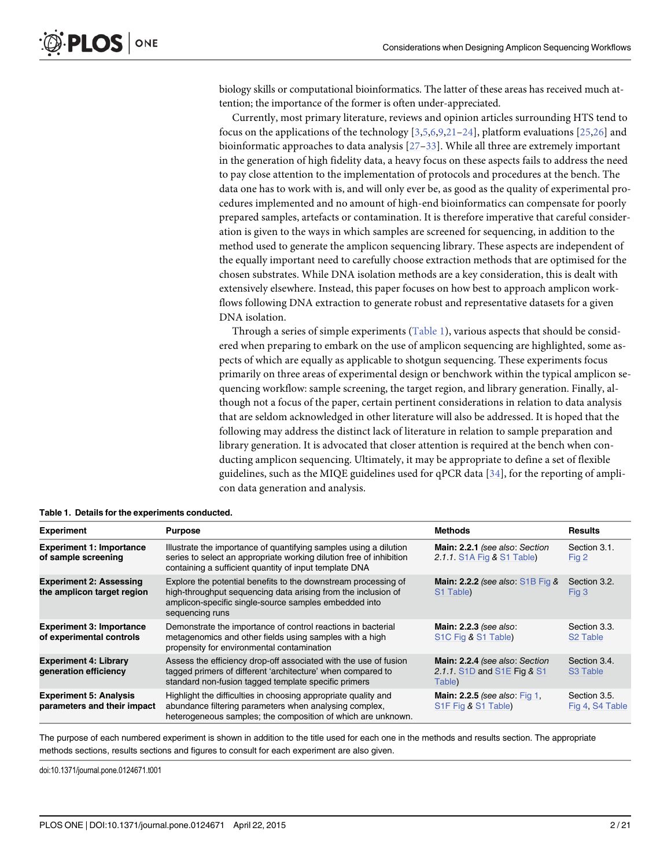<span id="page-1-0"></span>biology skills or computational bioinformatics. The latter of these areas has received much attention; the importance of the former is often under-appreciated.

Currently, most primary literature, reviews and opinion articles surrounding HTS tend to focus on the applications of the technology  $[3,5,6,9,21-24]$  $[3,5,6,9,21-24]$  $[3,5,6,9,21-24]$  $[3,5,6,9,21-24]$  $[3,5,6,9,21-24]$  $[3,5,6,9,21-24]$  $[3,5,6,9,21-24]$ , platform evaluations  $[25,26]$  $[25,26]$  and bioinformatic approaches to data analysis [[27](#page-17-0)–[33](#page-18-0)]. While all three are extremely important in the generation of high fidelity data, a heavy focus on these aspects fails to address the need to pay close attention to the implementation of protocols and procedures at the bench. The data one has to work with is, and will only ever be, as good as the quality of experimental procedures implemented and no amount of high-end bioinformatics can compensate for poorly prepared samples, artefacts or contamination. It is therefore imperative that careful consideration is given to the ways in which samples are screened for sequencing, in addition to the method used to generate the amplicon sequencing library. These aspects are independent of the equally important need to carefully choose extraction methods that are optimised for the chosen substrates. While DNA isolation methods are a key consideration, this is dealt with extensively elsewhere. Instead, this paper focuses on how best to approach amplicon workflows following DNA extraction to generate robust and representative datasets for a given DNA isolation.

Through a series of simple experiments  $(Table 1)$ , various aspects that should be considered when preparing to embark on the use of amplicon sequencing are highlighted, some aspects of which are equally as applicable to shotgun sequencing. These experiments focus primarily on three areas of experimental design or benchwork within the typical amplicon sequencing workflow: sample screening, the target region, and library generation. Finally, although not a focus of the paper, certain pertinent considerations in relation to data analysis that are seldom acknowledged in other literature will also be addressed. It is hoped that the following may address the distinct lack of literature in relation to sample preparation and library generation. It is advocated that closer attention is required at the bench when conducting amplicon sequencing. Ultimately, it may be appropriate to define a set of flexible guidelines, such as the MIQE guidelines used for qPCR data  $[34]$  $[34]$ , for the reporting of amplicon data generation and analysis.

| <b>Experiment</b>                                            | <b>Purpose</b>                                                                                                                                                                                              | Methods                                                                              | <b>Results</b>                       |
|--------------------------------------------------------------|-------------------------------------------------------------------------------------------------------------------------------------------------------------------------------------------------------------|--------------------------------------------------------------------------------------|--------------------------------------|
| <b>Experiment 1: Importance</b><br>of sample screening       | Illustrate the importance of quantifying samples using a dilution<br>series to select an appropriate working dilution free of inhibition<br>containing a sufficient quantity of input template DNA          | Main: 2.2.1 (see also: Section<br>2.1.1. S1A Fig & S1 Table)                         | Section 3.1.<br>Fig 2                |
| <b>Experiment 2: Assessing</b><br>the amplicon target region | Explore the potential benefits to the downstream processing of<br>high-throughput sequencing data arising from the inclusion of<br>amplicon-specific single-source samples embedded into<br>sequencing runs | <b>Main: 2.2.2</b> (see also: $S1B$ Fig $\&$<br>S1 Table)                            | Section 3.2.<br>Fig 3                |
| <b>Experiment 3: Importance</b><br>of experimental controls  | Demonstrate the importance of control reactions in bacterial<br>metagenomics and other fields using samples with a high<br>propensity for environmental contamination                                       | <b>Main: 2.2.3</b> (see also:<br>S <sub>1</sub> C Fig & S <sub>1</sub> Table)        | Section 3.3.<br>S <sub>2</sub> Table |
| <b>Experiment 4: Library</b><br>generation efficiency        | Assess the efficiency drop-off associated with the use of fusion<br>tagged primers of different 'architecture' when compared to<br>standard non-fusion tagged template specific primers                     | Main: 2.2.4 (see also: Section<br>2.1.1. S1D and S1E Fig & S1<br>Table)              | Section 3.4.<br>S <sub>3</sub> Table |
| <b>Experiment 5: Analysis</b><br>parameters and their impact | Highlight the difficulties in choosing appropriate quality and<br>abundance filtering parameters when analysing complex,<br>heterogeneous samples; the composition of which are unknown.                    | <b>Main: 2.2.5</b> (see also: Fig 1.<br>S <sub>1</sub> F Fig & S <sub>1</sub> Table) | Section 3.5.<br>Fig 4, S4 Table      |

Table 1. Details for the experiments conducted.

The purpose of each numbered experiment is shown in addition to the title used for each one in the methods and results section. The appropriate methods sections, results sections and figures to consult for each experiment are also given.

doi:10.1371/journal.pone.0124671.t001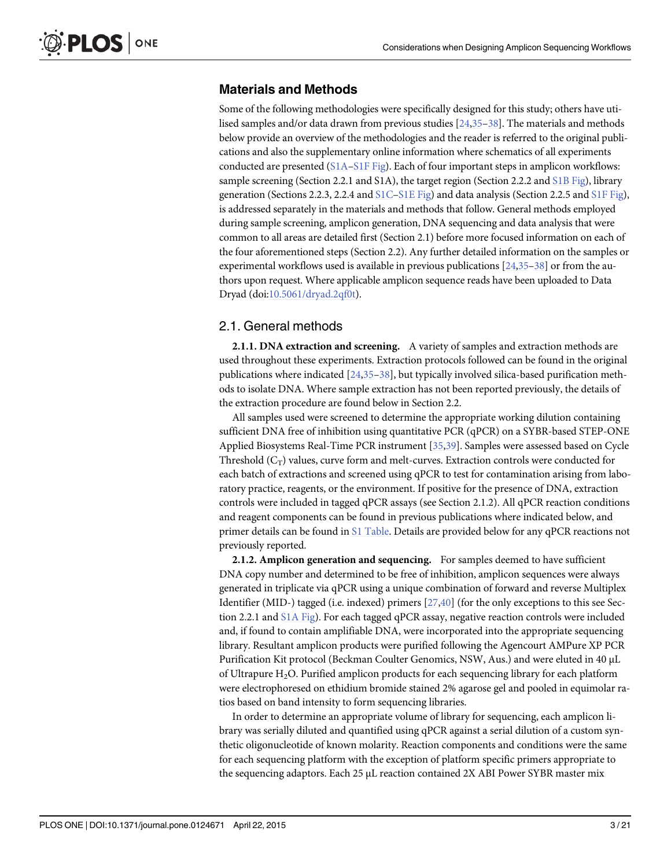# <span id="page-2-0"></span>Materials and Methods

Some of the following methodologies were specifically designed for this study; others have utilised samples and/or data drawn from previous studies [\[24,](#page-17-0)[35](#page-18-0)–[38\]](#page-18-0). The materials and methods below provide an overview of the methodologies and the reader is referred to the original publications and also the supplementary online information where schematics of all experiments conducted are presented [\(S1A](#page-15-0)–[S1F Fig\)](#page-15-0). Each of four important steps in amplicon workflows: sample screening (Section 2.2.1 and S1A), the target region (Section 2.2.2 and [S1B Fig\)](#page-15-0), library generation (Sections 2.2.3, 2.2.4 and [S1C](#page-15-0)–[S1E Fig](#page-15-0)) and data analysis (Section 2.2.5 and [S1F Fig\)](#page-15-0), is addressed separately in the materials and methods that follow. General methods employed during sample screening, amplicon generation, DNA sequencing and data analysis that were common to all areas are detailed first (Section 2.1) before more focused information on each of the four aforementioned steps (Section 2.2). Any further detailed information on the samples or experimental workflows used is available in previous publications  $[24,35-38]$  $[24,35-38]$  $[24,35-38]$  $[24,35-38]$  $[24,35-38]$  or from the authors upon request. Where applicable amplicon sequence reads have been uploaded to Data Dryad (doi[:10.5061/dryad.2qf0t](http://dx.doi.org/10.5061/dryad.2qf0t)).

#### 2.1. General methods

2.1.1. DNA extraction and screening. A variety of samples and extraction methods are used throughout these experiments. Extraction protocols followed can be found in the original publications where indicated [[24](#page-17-0)[,35](#page-18-0)–[38\]](#page-18-0), but typically involved silica-based purification methods to isolate DNA. Where sample extraction has not been reported previously, the details of the extraction procedure are found below in Section 2.2.

All samples used were screened to determine the appropriate working dilution containing sufficient DNA free of inhibition using quantitative PCR (qPCR) on a SYBR-based STEP-ONE Applied Biosystems Real-Time PCR instrument [\[35,39](#page-18-0)]. Samples were assessed based on Cycle Threshold  $(C_T)$  values, curve form and melt-curves. Extraction controls were conducted for each batch of extractions and screened using qPCR to test for contamination arising from laboratory practice, reagents, or the environment. If positive for the presence of DNA, extraction controls were included in tagged qPCR assays (see Section 2.1.2). All qPCR reaction conditions and reagent components can be found in previous publications where indicated below, and primer details can be found in [S1 Table](#page-16-0). Details are provided below for any qPCR reactions not previously reported.

2.1.2. Amplicon generation and sequencing. For samples deemed to have sufficient DNA copy number and determined to be free of inhibition, amplicon sequences were always generated in triplicate via qPCR using a unique combination of forward and reverse Multiplex Identifier (MID-) tagged (i.e. indexed) primers  $[27,40]$  $[27,40]$  (for the only exceptions to this see Section 2.2.1 and [S1A Fig](#page-15-0)). For each tagged qPCR assay, negative reaction controls were included and, if found to contain amplifiable DNA, were incorporated into the appropriate sequencing library. Resultant amplicon products were purified following the Agencourt AMPure XP PCR Purification Kit protocol (Beckman Coulter Genomics, NSW, Aus.) and were eluted in 40 μL of Ultrapure H<sub>2</sub>O. Purified amplicon products for each sequencing library for each platform were electrophoresed on ethidium bromide stained 2% agarose gel and pooled in equimolar ratios based on band intensity to form sequencing libraries.

In order to determine an appropriate volume of library for sequencing, each amplicon library was serially diluted and quantified using qPCR against a serial dilution of a custom synthetic oligonucleotide of known molarity. Reaction components and conditions were the same for each sequencing platform with the exception of platform specific primers appropriate to the sequencing adaptors. Each 25 μL reaction contained 2X ABI Power SYBR master mix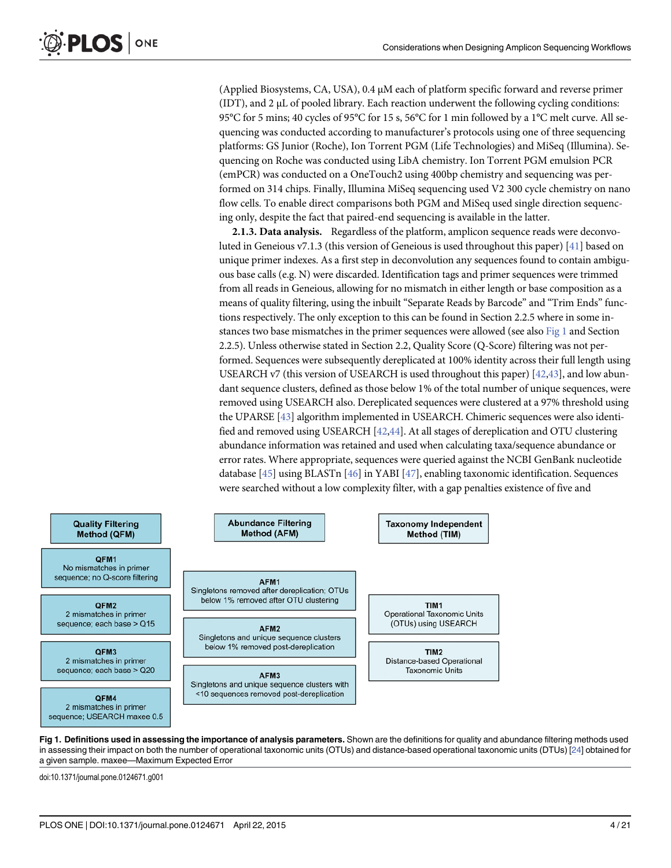<span id="page-3-0"></span>(Applied Biosystems, CA, USA), 0.4 μM each of platform specific forward and reverse primer (IDT), and 2 μL of pooled library. Each reaction underwent the following cycling conditions: 95°C for 5 mins; 40 cycles of 95°C for 15 s, 56°C for 1 min followed by a 1°C melt curve. All sequencing was conducted according to manufacturer's protocols using one of three sequencing platforms: GS Junior (Roche), Ion Torrent PGM (Life Technologies) and MiSeq (Illumina). Sequencing on Roche was conducted using LibA chemistry. Ion Torrent PGM emulsion PCR (emPCR) was conducted on a OneTouch2 using 400bp chemistry and sequencing was performed on 314 chips. Finally, Illumina MiSeq sequencing used V2 300 cycle chemistry on nano flow cells. To enable direct comparisons both PGM and MiSeq used single direction sequencing only, despite the fact that paired-end sequencing is available in the latter.

2.1.3. Data analysis. Regardless of the platform, amplicon sequence reads were deconvoluted in Geneious v7.1.3 (this version of Geneious is used throughout this paper) [[41](#page-18-0)] based on unique primer indexes. As a first step in deconvolution any sequences found to contain ambiguous base calls (e.g. N) were discarded. Identification tags and primer sequences were trimmed from all reads in Geneious, allowing for no mismatch in either length or base composition as a means of quality filtering, using the inbuilt "Separate Reads by Barcode" and "Trim Ends" functions respectively. The only exception to this can be found in Section 2.2.5 where in some instances two base mismatches in the primer sequences were allowed (see also Fig 1 and Section 2.2.5). Unless otherwise stated in Section 2.2, Quality Score (Q-Score) filtering was not performed. Sequences were subsequently dereplicated at 100% identity across their full length using USEARCH v7 (this version of USEARCH is used throughout this paper)  $[42,43]$  $[42,43]$ , and low abundant sequence clusters, defined as those below 1% of the total number of unique sequences, were removed using USEARCH also. Dereplicated sequences were clustered at a 97% threshold using the UPARSE [\[43](#page-18-0)] algorithm implemented in USEARCH. Chimeric sequences were also identified and removed using USEARCH [\[42](#page-18-0),[44](#page-18-0)]. At all stages of dereplication and OTU clustering abundance information was retained and used when calculating taxa/sequence abundance or error rates. Where appropriate, sequences were queried against the NCBI GenBank nucleotide database [\[45\]](#page-18-0) using BLASTn [\[46\]](#page-18-0) in YABI [\[47\]](#page-18-0), enabling taxonomic identification. Sequences were searched without a low complexity filter, with a gap penalties existence of five and



[Fig 1. D](#page-1-0)efinitions used in assessing the importance of analysis parameters. Shown are the definitions for quality and abundance filtering methods used in assessing their impact on both the number of operational taxonomic units (OTUs) and distance-based operational taxonomic units (DTUs) [[24\]](#page-17-0) obtained for a given sample. maxee—Maximum Expected Error

doi:10.1371/journal.pone.0124671.g001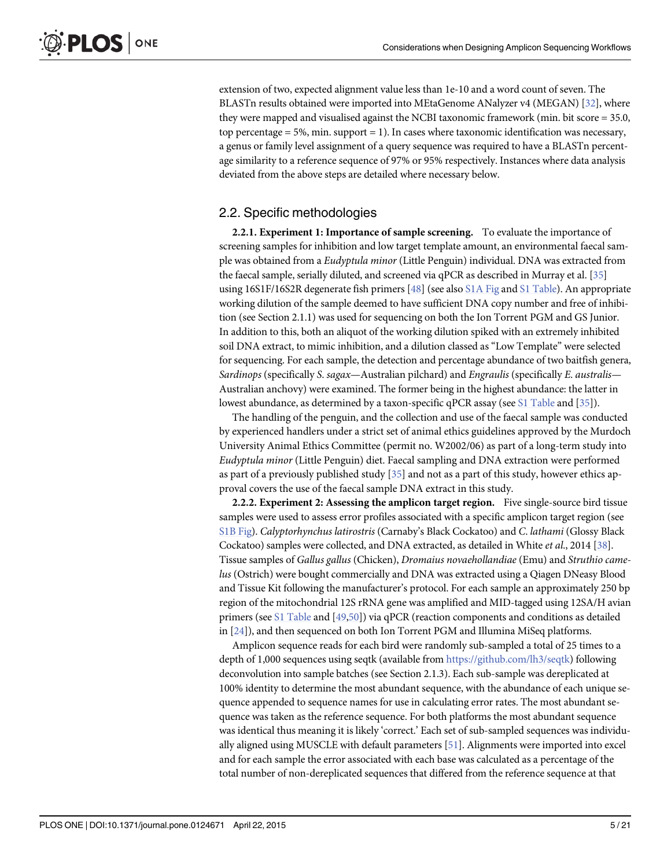<span id="page-4-0"></span>extension of two, expected alignment value less than 1e-10 and a word count of seven. The BLASTn results obtained were imported into MEtaGenome ANalyzer v4 (MEGAN) [\[32\]](#page-17-0), where they were mapped and visualised against the NCBI taxonomic framework (min. bit score = 35.0, top percentage  $= 5\%$ , min. support  $= 1$ ). In cases where taxonomic identification was necessary, a genus or family level assignment of a query sequence was required to have a BLASTn percentage similarity to a reference sequence of 97% or 95% respectively. Instances where data analysis deviated from the above steps are detailed where necessary below.

#### 2.2. Specific methodologies

2.2.1. Experiment 1: Importance of sample screening. To evaluate the importance of screening samples for inhibition and low target template amount, an environmental faecal sample was obtained from a Eudyptula minor (Little Penguin) individual. DNA was extracted from the faecal sample, serially diluted, and screened via qPCR as described in Murray et al. [\[35\]](#page-18-0) using 16S1F/16S2R degenerate fish primers  $[48]$  $[48]$  $[48]$  (see also  $S1A$  Fig and  $S1$  Table). An appropriate working dilution of the sample deemed to have sufficient DNA copy number and free of inhibition (see Section 2.1.1) was used for sequencing on both the Ion Torrent PGM and GS Junior. In addition to this, both an aliquot of the working dilution spiked with an extremely inhibited soil DNA extract, to mimic inhibition, and a dilution classed as "Low Template" were selected for sequencing. For each sample, the detection and percentage abundance of two baitfish genera, Sardinops (specifically S. sagax—Australian pilchard) and Engraulis (specifically E. australis— Australian anchovy) were examined. The former being in the highest abundance: the latter in lowest abundance, as determined by a taxon-specific qPCR assay (see [S1 Table](#page-16-0) and [[35](#page-18-0)]).

The handling of the penguin, and the collection and use of the faecal sample was conducted by experienced handlers under a strict set of animal ethics guidelines approved by the Murdoch University Animal Ethics Committee (permit no. W2002/06) as part of a long-term study into Eudyptula minor (Little Penguin) diet. Faecal sampling and DNA extraction were performed as part of a previously published study  $[35]$  and not as a part of this study, however ethics approval covers the use of the faecal sample DNA extract in this study.

2.2.2. Experiment 2: Assessing the amplicon target region. Five single-source bird tissue samples were used to assess error profiles associated with a specific amplicon target region (see [S1B Fig\)](#page-15-0). Calyptorhynchus latirostris (Carnaby's Black Cockatoo) and C. lathami (Glossy Black Cockatoo) samples were collected, and DNA extracted, as detailed in White et al., 2014 [[38](#page-18-0)]. Tissue samples of Gallus gallus (Chicken), Dromaius novaehollandiae (Emu) and Struthio camelus (Ostrich) were bought commercially and DNA was extracted using a Qiagen DNeasy Blood and Tissue Kit following the manufacturer's protocol. For each sample an approximately 250 bp region of the mitochondrial 12S rRNA gene was amplified and MID-tagged using 12SA/H avian primers (see [S1 Table](#page-16-0) and [[49,50\]](#page-18-0)) via qPCR (reaction components and conditions as detailed in [[24](#page-17-0)]), and then sequenced on both Ion Torrent PGM and Illumina MiSeq platforms.

Amplicon sequence reads for each bird were randomly sub-sampled a total of 25 times to a depth of 1,000 sequences using seqtk (available from [https://github.com/lh3/seqtk\)](https://github.com/lh3/seqtk) following deconvolution into sample batches (see Section 2.1.3). Each sub-sample was dereplicated at 100% identity to determine the most abundant sequence, with the abundance of each unique sequence appended to sequence names for use in calculating error rates. The most abundant sequence was taken as the reference sequence. For both platforms the most abundant sequence was identical thus meaning it is likely 'correct.' Each set of sub-sampled sequences was individually aligned using MUSCLE with default parameters [[51](#page-18-0)]. Alignments were imported into excel and for each sample the error associated with each base was calculated as a percentage of the total number of non-dereplicated sequences that differed from the reference sequence at that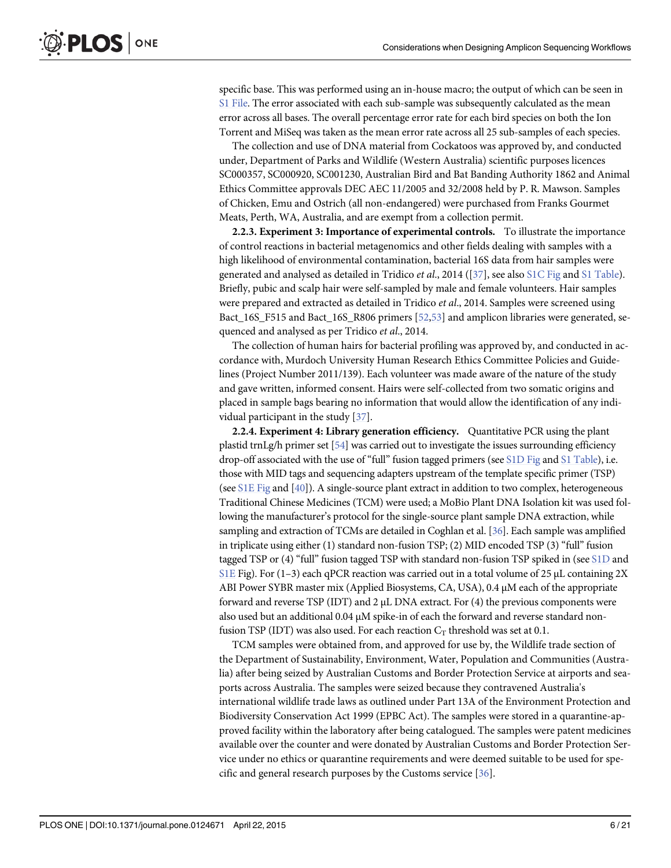<span id="page-5-0"></span>specific base. This was performed using an in-house macro; the output of which can be seen in [S1 File.](#page-15-0) The error associated with each sub-sample was subsequently calculated as the mean error across all bases. The overall percentage error rate for each bird species on both the Ion Torrent and MiSeq was taken as the mean error rate across all 25 sub-samples of each species.

The collection and use of DNA material from Cockatoos was approved by, and conducted under, Department of Parks and Wildlife (Western Australia) scientific purposes licences SC000357, SC000920, SC001230, Australian Bird and Bat Banding Authority 1862 and Animal Ethics Committee approvals DEC AEC 11/2005 and 32/2008 held by P. R. Mawson. Samples of Chicken, Emu and Ostrich (all non-endangered) were purchased from Franks Gourmet Meats, Perth, WA, Australia, and are exempt from a collection permit.

2.2.3. Experiment 3: Importance of experimental controls. To illustrate the importance of control reactions in bacterial metagenomics and other fields dealing with samples with a high likelihood of environmental contamination, bacterial 16S data from hair samples were generated and analysed as detailed in Tridico et al., 2014 ([[37](#page-18-0)], see also [S1C Fig](#page-16-0) and [S1 Table\)](#page-16-0). Briefly, pubic and scalp hair were self-sampled by male and female volunteers. Hair samples were prepared and extracted as detailed in Tridico *et al.*, 2014. Samples were screened using Bact\_16S\_F515 and Bact\_16S\_R806 primers [[52](#page-18-0),[53](#page-18-0)] and amplicon libraries were generated, sequenced and analysed as per Tridico et al., 2014.

The collection of human hairs for bacterial profiling was approved by, and conducted in accordance with, Murdoch University Human Research Ethics Committee Policies and Guidelines (Project Number 2011/139). Each volunteer was made aware of the nature of the study and gave written, informed consent. Hairs were self-collected from two somatic origins and placed in sample bags bearing no information that would allow the identification of any individual participant in the study [[37](#page-18-0)].

2.2.4. Experiment 4: Library generation efficiency. Quantitative PCR using the plant plastid trnLg/h primer set [\[54\]](#page-18-0) was carried out to investigate the issues surrounding efficiency drop-off associated with the use of "full" fusion tagged primers (see [S1D Fig](#page-16-0) and [S1 Table](#page-16-0)), i.e. those with MID tags and sequencing adapters upstream of the template specific primer (TSP) (see [S1E Fig](#page-15-0) and [\[40](#page-18-0)]). A single-source plant extract in addition to two complex, heterogeneous Traditional Chinese Medicines (TCM) were used; a MoBio Plant DNA Isolation kit was used following the manufacturer's protocol for the single-source plant sample DNA extraction, while sampling and extraction of TCMs are detailed in Coghlan et al. [\[36\]](#page-18-0). Each sample was amplified in triplicate using either (1) standard non-fusion TSP; (2) MID encoded TSP (3) "full" fusion tagged TSP or (4) "full" fusion tagged TSP with standard non-fusion TSP spiked in (see [S1D](#page-15-0) and [S1E](#page-15-0) Fig). For (1–3) each qPCR reaction was carried out in a total volume of 25  $\mu$ L containing 2X ABI Power SYBR master mix (Applied Biosystems, CA, USA), 0.4 μM each of the appropriate forward and reverse TSP (IDT) and 2 μL DNA extract. For (4) the previous components were also used but an additional 0.04 μM spike-in of each the forward and reverse standard nonfusion TSP (IDT) was also used. For each reaction  $C_T$  threshold was set at 0.1.

TCM samples were obtained from, and approved for use by, the Wildlife trade section of the Department of Sustainability, Environment, Water, Population and Communities (Australia) after being seized by Australian Customs and Border Protection Service at airports and seaports across Australia. The samples were seized because they contravened Australia's international wildlife trade laws as outlined under Part 13A of the Environment Protection and Biodiversity Conservation Act 1999 (EPBC Act). The samples were stored in a quarantine-approved facility within the laboratory after being catalogued. The samples were patent medicines available over the counter and were donated by Australian Customs and Border Protection Service under no ethics or quarantine requirements and were deemed suitable to be used for specific and general research purposes by the Customs service [[36](#page-18-0)].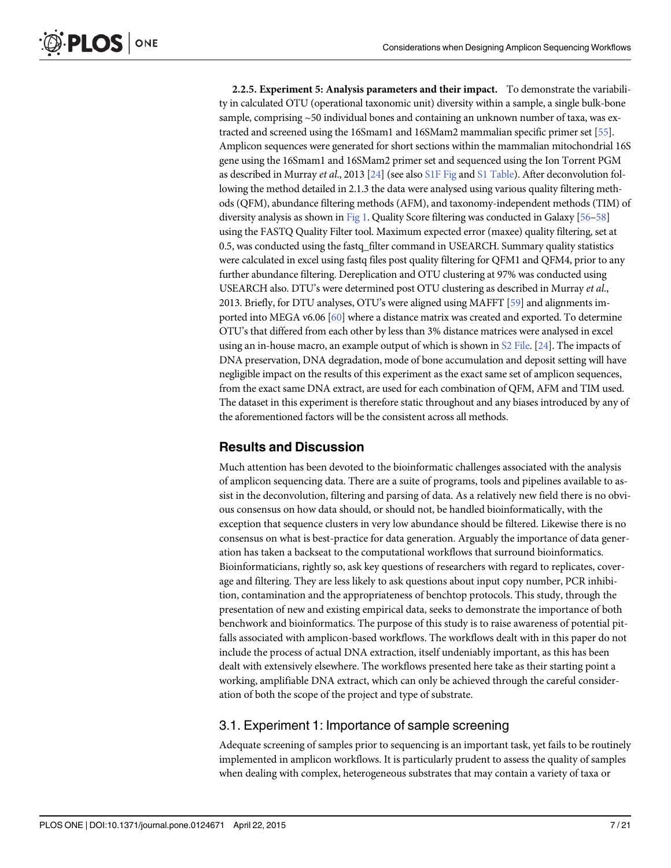<span id="page-6-0"></span>2.2.5. Experiment 5: Analysis parameters and their impact. To demonstrate the variability in calculated OTU (operational taxonomic unit) diversity within a sample, a single bulk-bone sample, comprising ~50 individual bones and containing an unknown number of taxa, was extracted and screened using the 16Smam1 and 16SMam2 mammalian specific primer set [[55](#page-18-0)]. Amplicon sequences were generated for short sections within the mammalian mitochondrial 16S gene using the 16Smam1 and 16SMam2 primer set and sequenced using the Ion Torrent PGM as described in Murray et al., 2013 [\[24\]](#page-17-0) (see also [S1F Fig](#page-16-0) and [S1 Table](#page-16-0)). After deconvolution following the method detailed in 2.1.3 the data were analysed using various quality filtering methods (QFM), abundance filtering methods (AFM), and taxonomy-independent methods (TIM) of diversity analysis as shown in [Fig 1](#page-3-0). Quality Score filtering was conducted in Galaxy [[56](#page-19-0)–[58](#page-19-0)] using the FASTQ Quality Filter tool. Maximum expected error (maxee) quality filtering, set at 0.5, was conducted using the fastq\_filter command in USEARCH. Summary quality statistics were calculated in excel using fastq files post quality filtering for QFM1 and QFM4, prior to any further abundance filtering. Dereplication and OTU clustering at 97% was conducted using USEARCH also. DTU's were determined post OTU clustering as described in Murray et al., 2013. Briefly, for DTU analyses, OTU's were aligned using MAFFT [[59](#page-19-0)] and alignments imported into MEGA v6.06 [\[60\]](#page-19-0) where a distance matrix was created and exported. To determine OTU's that differed from each other by less than 3% distance matrices were analysed in excel using an in-house macro, an example output of which is shown in [S2 File](#page-15-0). [\[24](#page-17-0)]. The impacts of DNA preservation, DNA degradation, mode of bone accumulation and deposit setting will have negligible impact on the results of this experiment as the exact same set of amplicon sequences, from the exact same DNA extract, are used for each combination of QFM, AFM and TIM used. The dataset in this experiment is therefore static throughout and any biases introduced by any of the aforementioned factors will be the consistent across all methods.

# Results and Discussion

Much attention has been devoted to the bioinformatic challenges associated with the analysis of amplicon sequencing data. There are a suite of programs, tools and pipelines available to assist in the deconvolution, filtering and parsing of data. As a relatively new field there is no obvious consensus on how data should, or should not, be handled bioinformatically, with the exception that sequence clusters in very low abundance should be filtered. Likewise there is no consensus on what is best-practice for data generation. Arguably the importance of data generation has taken a backseat to the computational workflows that surround bioinformatics. Bioinformaticians, rightly so, ask key questions of researchers with regard to replicates, coverage and filtering. They are less likely to ask questions about input copy number, PCR inhibition, contamination and the appropriateness of benchtop protocols. This study, through the presentation of new and existing empirical data, seeks to demonstrate the importance of both benchwork and bioinformatics. The purpose of this study is to raise awareness of potential pitfalls associated with amplicon-based workflows. The workflows dealt with in this paper do not include the process of actual DNA extraction, itself undeniably important, as this has been dealt with extensively elsewhere. The workflows presented here take as their starting point a working, amplifiable DNA extract, which can only be achieved through the careful consideration of both the scope of the project and type of substrate.

#### 3.1. Experiment 1: Importance of sample screening

Adequate screening of samples prior to sequencing is an important task, yet fails to be routinely implemented in amplicon workflows. It is particularly prudent to assess the quality of samples when dealing with complex, heterogeneous substrates that may contain a variety of taxa or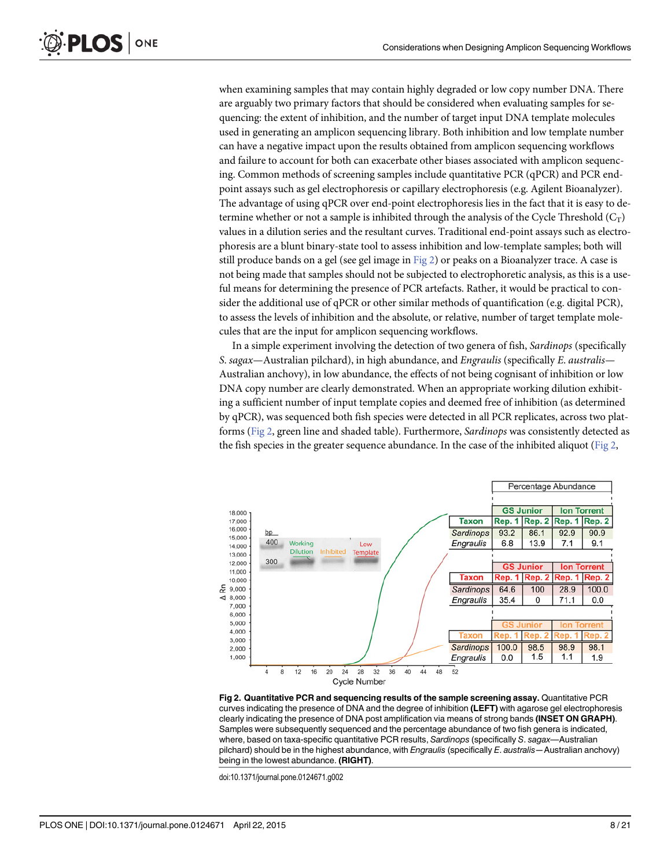<span id="page-7-0"></span>when examining samples that may contain highly degraded or low copy number DNA. There are arguably two primary factors that should be considered when evaluating samples for sequencing: the extent of inhibition, and the number of target input DNA template molecules used in generating an amplicon sequencing library. Both inhibition and low template number can have a negative impact upon the results obtained from amplicon sequencing workflows and failure to account for both can exacerbate other biases associated with amplicon sequencing. Common methods of screening samples include quantitative PCR (qPCR) and PCR endpoint assays such as gel electrophoresis or capillary electrophoresis (e.g. Agilent Bioanalyzer). The advantage of using qPCR over end-point electrophoresis lies in the fact that it is easy to determine whether or not a sample is inhibited through the analysis of the Cycle Threshold  $(C_T)$ values in a dilution series and the resultant curves. Traditional end-point assays such as electrophoresis are a blunt binary-state tool to assess inhibition and low-template samples; both will still produce bands on a gel (see gel image in Fig 2) or peaks on a Bioanalyzer trace. A case is not being made that samples should not be subjected to electrophoretic analysis, as this is a useful means for determining the presence of PCR artefacts. Rather, it would be practical to consider the additional use of qPCR or other similar methods of quantification (e.g. digital PCR), to assess the levels of inhibition and the absolute, or relative, number of target template molecules that are the input for amplicon sequencing workflows.

In a simple experiment involving the detection of two genera of fish, Sardinops (specifically S. sagax—Australian pilchard), in high abundance, and Engraulis (specifically E. australis-Australian anchovy), in low abundance, the effects of not being cognisant of inhibition or low DNA copy number are clearly demonstrated. When an appropriate working dilution exhibiting a sufficient number of input template copies and deemed free of inhibition (as determined by qPCR), was sequenced both fish species were detected in all PCR replicates, across two platforms (Fig 2, green line and shaded table). Furthermore, Sardinops was consistently detected as the fish species in the greater sequence abundance. In the case of the inhibited aliquot ( $Fig 2$ ,



[Fig 2. Q](#page-1-0)uantitative PCR and sequencing results of the sample screening assay. Quantitative PCR curves indicating the presence of DNA and the degree of inhibition (LEFT) with agarose gel electrophoresis clearly indicating the presence of DNA post amplification via means of strong bands (INSET ON GRAPH). Samples were subsequently sequenced and the percentage abundance of two fish genera is indicated, where, based on taxa-specific quantitative PCR results, Sardinops (specifically S. sagax—Australian pilchard) should be in the highest abundance, with Engraulis (specifically E. australis - Australian anchovy) being in the lowest abundance. (RIGHT).

doi:10.1371/journal.pone.0124671.g002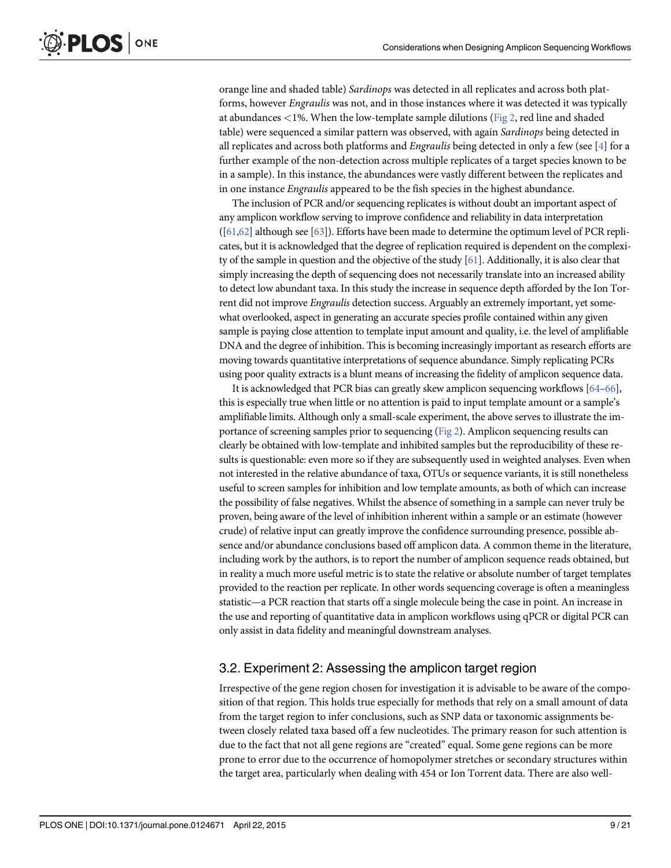<span id="page-8-0"></span>orange line and shaded table) Sardinops was detected in all replicates and across both platforms, however Engraulis was not, and in those instances where it was detected it was typically at abundances  $<$  1%. When the low-template sample dilutions ([Fig 2,](#page-7-0) red line and shaded table) were sequenced a similar pattern was observed, with again Sardinops being detected in all replicates and across both platforms and *Engraulis* being detected in only a few (see [\[4\]](#page-16-0) for a further example of the non-detection across multiple replicates of a target species known to be in a sample). In this instance, the abundances were vastly different between the replicates and in one instance Engraulis appeared to be the fish species in the highest abundance.

The inclusion of PCR and/or sequencing replicates is without doubt an important aspect of any amplicon workflow serving to improve confidence and reliability in data interpretation ([[61,62](#page-19-0)] although see [[63](#page-19-0)]). Efforts have been made to determine the optimum level of PCR replicates, but it is acknowledged that the degree of replication required is dependent on the complexity of the sample in question and the objective of the study [\[61\]](#page-19-0). Additionally, it is also clear that simply increasing the depth of sequencing does not necessarily translate into an increased ability to detect low abundant taxa. In this study the increase in sequence depth afforded by the Ion Torrent did not improve Engraulis detection success. Arguably an extremely important, yet somewhat overlooked, aspect in generating an accurate species profile contained within any given sample is paying close attention to template input amount and quality, i.e. the level of amplifiable DNA and the degree of inhibition. This is becoming increasingly important as research efforts are moving towards quantitative interpretations of sequence abundance. Simply replicating PCRs using poor quality extracts is a blunt means of increasing the fidelity of amplicon sequence data.

It is acknowledged that PCR bias can greatly skew amplicon sequencing workflows [\[64](#page-19-0)–[66\]](#page-19-0), this is especially true when little or no attention is paid to input template amount or a sample's amplifiable limits. Although only a small-scale experiment, the above serves to illustrate the importance of screening samples prior to sequencing [\(Fig 2](#page-7-0)). Amplicon sequencing results can clearly be obtained with low-template and inhibited samples but the reproducibility of these results is questionable: even more so if they are subsequently used in weighted analyses. Even when not interested in the relative abundance of taxa, OTUs or sequence variants, it is still nonetheless useful to screen samples for inhibition and low template amounts, as both of which can increase the possibility of false negatives. Whilst the absence of something in a sample can never truly be proven, being aware of the level of inhibition inherent within a sample or an estimate (however crude) of relative input can greatly improve the confidence surrounding presence, possible absence and/or abundance conclusions based off amplicon data. A common theme in the literature, including work by the authors, is to report the number of amplicon sequence reads obtained, but in reality a much more useful metric is to state the relative or absolute number of target templates provided to the reaction per replicate. In other words sequencing coverage is often a meaningless statistic—a PCR reaction that starts off a single molecule being the case in point. An increase in the use and reporting of quantitative data in amplicon workflows using qPCR or digital PCR can only assist in data fidelity and meaningful downstream analyses.

# 3.2. Experiment 2: Assessing the amplicon target region

Irrespective of the gene region chosen for investigation it is advisable to be aware of the composition of that region. This holds true especially for methods that rely on a small amount of data from the target region to infer conclusions, such as SNP data or taxonomic assignments between closely related taxa based off a few nucleotides. The primary reason for such attention is due to the fact that not all gene regions are "created" equal. Some gene regions can be more prone to error due to the occurrence of homopolymer stretches or secondary structures within the target area, particularly when dealing with 454 or Ion Torrent data. There are also well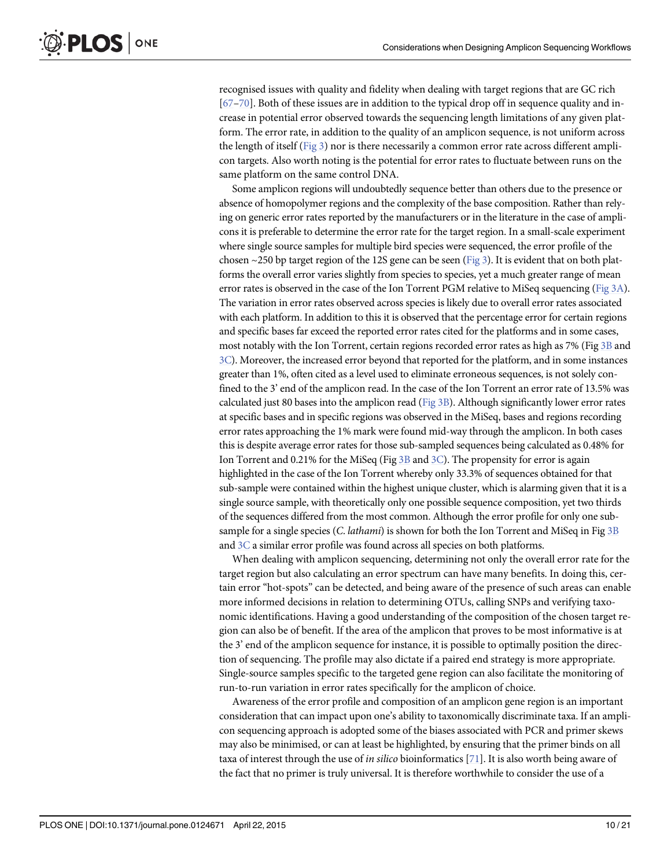<span id="page-9-0"></span>recognised issues with quality and fidelity when dealing with target regions that are GC rich  $[67–70]$  $[67–70]$  $[67–70]$ . Both of these issues are in addition to the typical drop off in sequence quality and increase in potential error observed towards the sequencing length limitations of any given platform. The error rate, in addition to the quality of an amplicon sequence, is not uniform across the length of itself ([Fig 3\)](#page-10-0) nor is there necessarily a common error rate across different amplicon targets. Also worth noting is the potential for error rates to fluctuate between runs on the same platform on the same control DNA.

Some amplicon regions will undoubtedly sequence better than others due to the presence or absence of homopolymer regions and the complexity of the base composition. Rather than relying on generic error rates reported by the manufacturers or in the literature in the case of amplicons it is preferable to determine the error rate for the target region. In a small-scale experiment where single source samples for multiple bird species were sequenced, the error profile of the chosen  $\sim$ 250 bp target region of the 12S gene can be seen ([Fig 3\)](#page-10-0). It is evident that on both platforms the overall error varies slightly from species to species, yet a much greater range of mean error rates is observed in the case of the Ion Torrent PGM relative to MiSeq sequencing ([Fig 3A](#page-10-0)). The variation in error rates observed across species is likely due to overall error rates associated with each platform. In addition to this it is observed that the percentage error for certain regions and specific bases far exceed the reported error rates cited for the platforms and in some cases, most notably with the Ion Torrent, certain regions recorded error rates as high as 7% (Fig [3B](#page-10-0) and [3C](#page-10-0)). Moreover, the increased error beyond that reported for the platform, and in some instances greater than 1%, often cited as a level used to eliminate erroneous sequences, is not solely confined to the 3' end of the amplicon read. In the case of the Ion Torrent an error rate of 13.5% was calculated just 80 bases into the amplicon read [\(Fig 3B](#page-10-0)). Although significantly lower error rates at specific bases and in specific regions was observed in the MiSeq, bases and regions recording error rates approaching the 1% mark were found mid-way through the amplicon. In both cases this is despite average error rates for those sub-sampled sequences being calculated as 0.48% for Ion Torrent and 0.21% for the MiSeq (Fig [3B](#page-10-0) and [3C\)](#page-10-0). The propensity for error is again highlighted in the case of the Ion Torrent whereby only 33.3% of sequences obtained for that sub-sample were contained within the highest unique cluster, which is alarming given that it is a single source sample, with theoretically only one possible sequence composition, yet two thirds of the sequences differed from the most common. Although the error profile for only one subsample for a single species (*C. lathami*) is shown for both the Ion Torrent and MiSeq in Fig  $3B$ and [3C](#page-10-0) a similar error profile was found across all species on both platforms.

When dealing with amplicon sequencing, determining not only the overall error rate for the target region but also calculating an error spectrum can have many benefits. In doing this, certain error "hot-spots" can be detected, and being aware of the presence of such areas can enable more informed decisions in relation to determining OTUs, calling SNPs and verifying taxonomic identifications. Having a good understanding of the composition of the chosen target region can also be of benefit. If the area of the amplicon that proves to be most informative is at the 3' end of the amplicon sequence for instance, it is possible to optimally position the direction of sequencing. The profile may also dictate if a paired end strategy is more appropriate. Single-source samples specific to the targeted gene region can also facilitate the monitoring of run-to-run variation in error rates specifically for the amplicon of choice.

Awareness of the error profile and composition of an amplicon gene region is an important consideration that can impact upon one's ability to taxonomically discriminate taxa. If an amplicon sequencing approach is adopted some of the biases associated with PCR and primer skews may also be minimised, or can at least be highlighted, by ensuring that the primer binds on all taxa of interest through the use of in silico bioinformatics [\[71\]](#page-19-0). It is also worth being aware of the fact that no primer is truly universal. It is therefore worthwhile to consider the use of a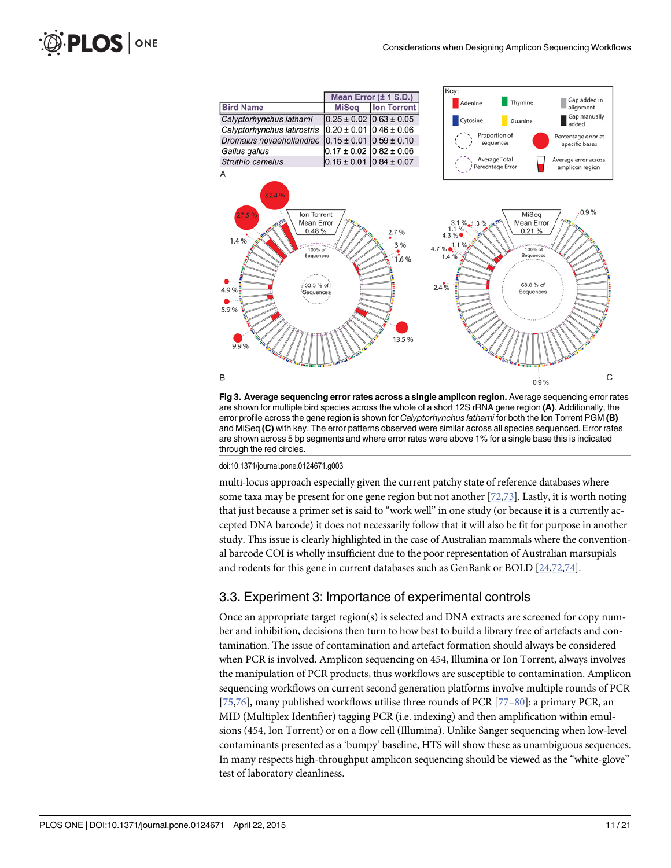<span id="page-10-0"></span>



[Fig 3. A](#page-1-0)verage sequencing error rates across a single amplicon region. Average sequencing error rates are shown for multiple bird species across the whole of a short 12S rRNA gene region (A). Additionally, the error profile across the gene region is shown for Calyptorhynchus lathami for both the Ion Torrent PGM (B) and MiSeq (C) with key. The error patterns observed were similar across all species sequenced. Error rates are shown across 5 bp segments and where error rates were above 1% for a single base this is indicated through the red circles.

doi:10.1371/journal.pone.0124671.g003

multi-locus approach especially given the current patchy state of reference databases where some taxa may be present for one gene region but not another [\[72](#page-19-0),[73](#page-19-0)]. Lastly, it is worth noting that just because a primer set is said to "work well" in one study (or because it is a currently accepted DNA barcode) it does not necessarily follow that it will also be fit for purpose in another study. This issue is clearly highlighted in the case of Australian mammals where the conventional barcode COI is wholly insufficient due to the poor representation of Australian marsupials and rodents for this gene in current databases such as GenBank or BOLD [\[24,](#page-17-0)[72,74\]](#page-19-0).

#### 3.3. Experiment 3: Importance of experimental controls

Once an appropriate target region(s) is selected and DNA extracts are screened for copy number and inhibition, decisions then turn to how best to build a library free of artefacts and contamination. The issue of contamination and artefact formation should always be considered when PCR is involved. Amplicon sequencing on 454, Illumina or Ion Torrent, always involves the manipulation of PCR products, thus workflows are susceptible to contamination. Amplicon sequencing workflows on current second generation platforms involve multiple rounds of PCR [\[75,76\]](#page-19-0), many published workflows utilise three rounds of PCR [[77](#page-20-0)–[80](#page-20-0)]: a primary PCR, an MID (Multiplex Identifier) tagging PCR (i.e. indexing) and then amplification within emulsions (454, Ion Torrent) or on a flow cell (Illumina). Unlike Sanger sequencing when low-level contaminants presented as a 'bumpy' baseline, HTS will show these as unambiguous sequences. In many respects high-throughput amplicon sequencing should be viewed as the "white-glove" test of laboratory cleanliness.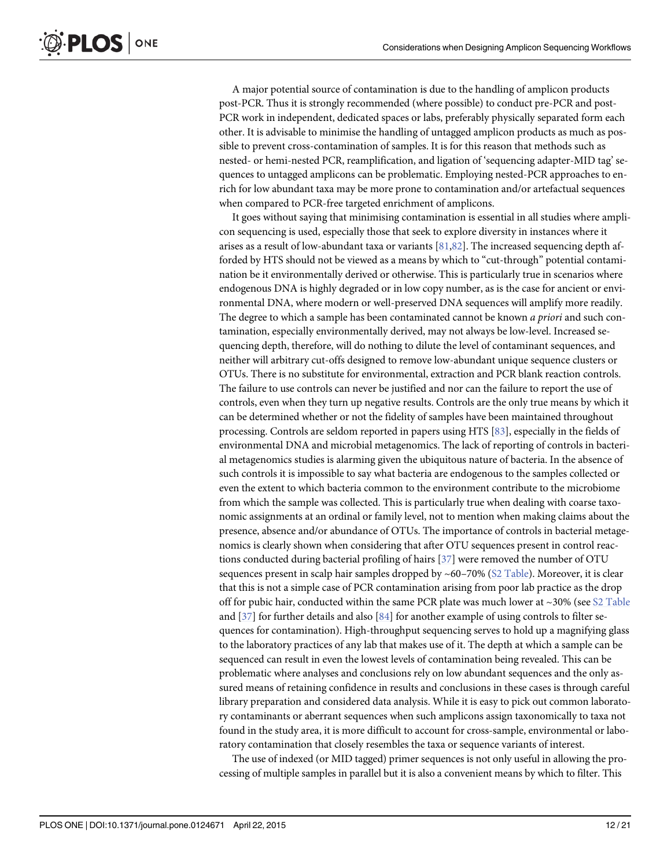<span id="page-11-0"></span>A major potential source of contamination is due to the handling of amplicon products post-PCR. Thus it is strongly recommended (where possible) to conduct pre-PCR and post-PCR work in independent, dedicated spaces or labs, preferably physically separated form each other. It is advisable to minimise the handling of untagged amplicon products as much as possible to prevent cross-contamination of samples. It is for this reason that methods such as nested- or hemi-nested PCR, reamplification, and ligation of 'sequencing adapter-MID tag' sequences to untagged amplicons can be problematic. Employing nested-PCR approaches to enrich for low abundant taxa may be more prone to contamination and/or artefactual sequences when compared to PCR-free targeted enrichment of amplicons.

It goes without saying that minimising contamination is essential in all studies where amplicon sequencing is used, especially those that seek to explore diversity in instances where it arises as a result of low-abundant taxa or variants  $[81,82]$  $[81,82]$ . The increased sequencing depth afforded by HTS should not be viewed as a means by which to "cut-through" potential contamination be it environmentally derived or otherwise. This is particularly true in scenarios where endogenous DNA is highly degraded or in low copy number, as is the case for ancient or environmental DNA, where modern or well-preserved DNA sequences will amplify more readily. The degree to which a sample has been contaminated cannot be known *a priori* and such contamination, especially environmentally derived, may not always be low-level. Increased sequencing depth, therefore, will do nothing to dilute the level of contaminant sequences, and neither will arbitrary cut-offs designed to remove low-abundant unique sequence clusters or OTUs. There is no substitute for environmental, extraction and PCR blank reaction controls. The failure to use controls can never be justified and nor can the failure to report the use of controls, even when they turn up negative results. Controls are the only true means by which it can be determined whether or not the fidelity of samples have been maintained throughout processing. Controls are seldom reported in papers using HTS [[83](#page-20-0)], especially in the fields of environmental DNA and microbial metagenomics. The lack of reporting of controls in bacterial metagenomics studies is alarming given the ubiquitous nature of bacteria. In the absence of such controls it is impossible to say what bacteria are endogenous to the samples collected or even the extent to which bacteria common to the environment contribute to the microbiome from which the sample was collected. This is particularly true when dealing with coarse taxonomic assignments at an ordinal or family level, not to mention when making claims about the presence, absence and/or abundance of OTUs. The importance of controls in bacterial metagenomics is clearly shown when considering that after OTU sequences present in control reactions conducted during bacterial profiling of hairs [[37](#page-18-0)] were removed the number of OTU sequences present in scalp hair samples dropped by  $\sim 60-70\%$  ([S2 Table\)](#page-16-0). Moreover, it is clear that this is not a simple case of PCR contamination arising from poor lab practice as the drop off for pubic hair, conducted within the same PCR plate was much lower at  $\sim$ 30% (see [S2 Table](#page-16-0) and [[37](#page-18-0)] for further details and also [[84\]](#page-20-0) for another example of using controls to filter sequences for contamination). High-throughput sequencing serves to hold up a magnifying glass to the laboratory practices of any lab that makes use of it. The depth at which a sample can be sequenced can result in even the lowest levels of contamination being revealed. This can be problematic where analyses and conclusions rely on low abundant sequences and the only assured means of retaining confidence in results and conclusions in these cases is through careful library preparation and considered data analysis. While it is easy to pick out common laboratory contaminants or aberrant sequences when such amplicons assign taxonomically to taxa not found in the study area, it is more difficult to account for cross-sample, environmental or laboratory contamination that closely resembles the taxa or sequence variants of interest.

The use of indexed (or MID tagged) primer sequences is not only useful in allowing the processing of multiple samples in parallel but it is also a convenient means by which to filter. This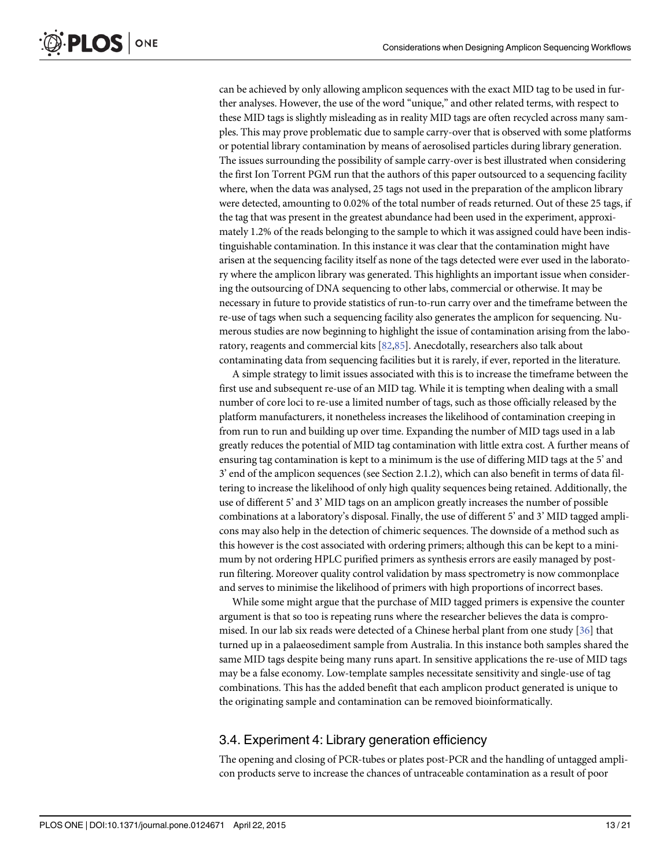<span id="page-12-0"></span>can be achieved by only allowing amplicon sequences with the exact MID tag to be used in further analyses. However, the use of the word "unique," and other related terms, with respect to these MID tags is slightly misleading as in reality MID tags are often recycled across many samples. This may prove problematic due to sample carry-over that is observed with some platforms or potential library contamination by means of aerosolised particles during library generation. The issues surrounding the possibility of sample carry-over is best illustrated when considering the first Ion Torrent PGM run that the authors of this paper outsourced to a sequencing facility where, when the data was analysed, 25 tags not used in the preparation of the amplicon library were detected, amounting to 0.02% of the total number of reads returned. Out of these 25 tags, if the tag that was present in the greatest abundance had been used in the experiment, approximately 1.2% of the reads belonging to the sample to which it was assigned could have been indistinguishable contamination. In this instance it was clear that the contamination might have arisen at the sequencing facility itself as none of the tags detected were ever used in the laboratory where the amplicon library was generated. This highlights an important issue when considering the outsourcing of DNA sequencing to other labs, commercial or otherwise. It may be necessary in future to provide statistics of run-to-run carry over and the timeframe between the re-use of tags when such a sequencing facility also generates the amplicon for sequencing. Numerous studies are now beginning to highlight the issue of contamination arising from the laboratory, reagents and commercial kits [\[82,85\]](#page-20-0). Anecdotally, researchers also talk about contaminating data from sequencing facilities but it is rarely, if ever, reported in the literature.

A simple strategy to limit issues associated with this is to increase the timeframe between the first use and subsequent re-use of an MID tag. While it is tempting when dealing with a small number of core loci to re-use a limited number of tags, such as those officially released by the platform manufacturers, it nonetheless increases the likelihood of contamination creeping in from run to run and building up over time. Expanding the number of MID tags used in a lab greatly reduces the potential of MID tag contamination with little extra cost. A further means of ensuring tag contamination is kept to a minimum is the use of differing MID tags at the 5' and 3' end of the amplicon sequences (see Section 2.1.2), which can also benefit in terms of data filtering to increase the likelihood of only high quality sequences being retained. Additionally, the use of different 5' and 3' MID tags on an amplicon greatly increases the number of possible combinations at a laboratory's disposal. Finally, the use of different 5' and 3' MID tagged amplicons may also help in the detection of chimeric sequences. The downside of a method such as this however is the cost associated with ordering primers; although this can be kept to a minimum by not ordering HPLC purified primers as synthesis errors are easily managed by postrun filtering. Moreover quality control validation by mass spectrometry is now commonplace and serves to minimise the likelihood of primers with high proportions of incorrect bases.

While some might argue that the purchase of MID tagged primers is expensive the counter argument is that so too is repeating runs where the researcher believes the data is compromised. In our lab six reads were detected of a Chinese herbal plant from one study [[36](#page-18-0)] that turned up in a palaeosediment sample from Australia. In this instance both samples shared the same MID tags despite being many runs apart. In sensitive applications the re-use of MID tags may be a false economy. Low-template samples necessitate sensitivity and single-use of tag combinations. This has the added benefit that each amplicon product generated is unique to the originating sample and contamination can be removed bioinformatically.

#### 3.4. Experiment 4: Library generation efficiency

The opening and closing of PCR-tubes or plates post-PCR and the handling of untagged amplicon products serve to increase the chances of untraceable contamination as a result of poor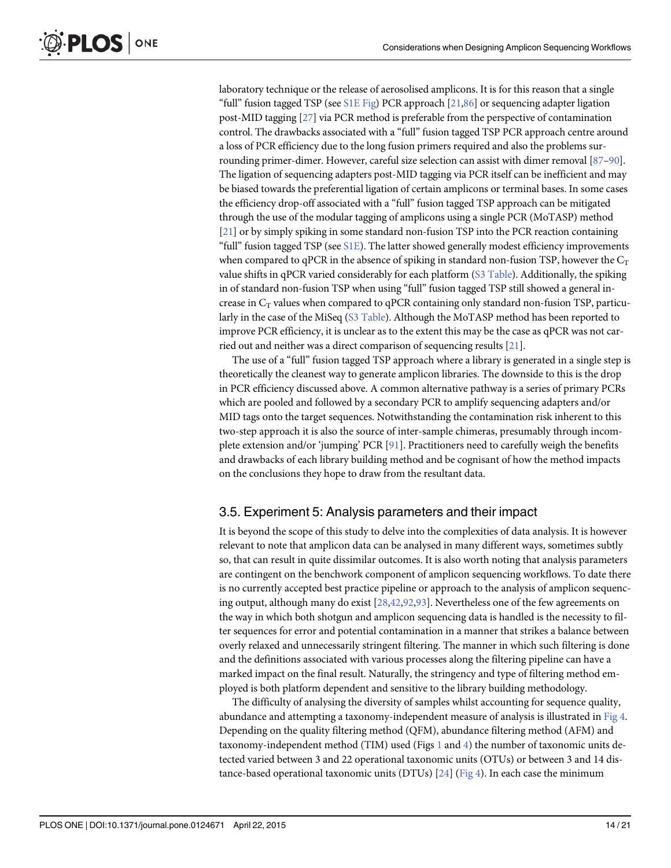laboratory technique or the release of aerosolised amplicons. It is for this reason that a single "full" fusion tagged TSP (see [S1E Fig\)](#page-15-0) PCR approach [\[21](#page-17-0)[,86\]](#page-20-0) or sequencing adapter ligation post-MID tagging [\[27\]](#page-17-0) via PCR method is preferable from the perspective of contamination control. The drawbacks associated with a "full" fusion tagged TSP PCR approach centre around a loss of PCR efficiency due to the long fusion primers required and also the problems sur-rounding primer-dimer. However, careful size selection can assist with dimer removal [\[87](#page-20-0)–[90](#page-20-0)]. The ligation of sequencing adapters post-MID tagging via PCR itself can be inefficient and may be biased towards the preferential ligation of certain amplicons or terminal bases. In some cases the efficiency drop-off associated with a "full" fusion tagged TSP approach can be mitigated through the use of the modular tagging of amplicons using a single PCR (MoTASP) method [\[21\]](#page-17-0) or by simply spiking in some standard non-fusion TSP into the PCR reaction containing "full" fusion tagged TSP (see  $S1E$ ). The latter showed generally modest efficiency improvements when compared to qPCR in the absence of spiking in standard non-fusion TSP, however the  $C_T$ value shifts in qPCR varied considerably for each platform ([S3 Table](#page-16-0)). Additionally, the spiking in of standard non-fusion TSP when using "full" fusion tagged TSP still showed a general increase in  $C_T$  values when compared to qPCR containing only standard non-fusion TSP, particularly in the case of the MiSeq [\(S3 Table\)](#page-16-0). Although the MoTASP method has been reported to

ried out and neither was a direct comparison of sequencing results [[21](#page-17-0)]. The use of a "full" fusion tagged TSP approach where a library is generated in a single step is theoretically the cleanest way to generate amplicon libraries. The downside to this is the drop in PCR efficiency discussed above. A common alternative pathway is a series of primary PCRs which are pooled and followed by a secondary PCR to amplify sequencing adapters and/or MID tags onto the target sequences. Notwithstanding the contamination risk inherent to this two-step approach it is also the source of inter-sample chimeras, presumably through incomplete extension and/or 'jumping' PCR [[91\]](#page-20-0). Practitioners need to carefully weigh the benefits and drawbacks of each library building method and be cognisant of how the method impacts on the conclusions they hope to draw from the resultant data.

improve PCR efficiency, it is unclear as to the extent this may be the case as qPCR was not car-

#### 3.5. Experiment 5: Analysis parameters and their impact

It is beyond the scope of this study to delve into the complexities of data analysis. It is however relevant to note that amplicon data can be analysed in many different ways, sometimes subtly so, that can result in quite dissimilar outcomes. It is also worth noting that analysis parameters are contingent on the benchwork component of amplicon sequencing workflows. To date there is no currently accepted best practice pipeline or approach to the analysis of amplicon sequencing output, although many do exist [\[28](#page-17-0)[,42,](#page-18-0)[92,93](#page-20-0)]. Nevertheless one of the few agreements on the way in which both shotgun and amplicon sequencing data is handled is the necessity to filter sequences for error and potential contamination in a manner that strikes a balance between overly relaxed and unnecessarily stringent filtering. The manner in which such filtering is done and the definitions associated with various processes along the filtering pipeline can have a marked impact on the final result. Naturally, the stringency and type of filtering method employed is both platform dependent and sensitive to the library building methodology.

The difficulty of analysing the diversity of samples whilst accounting for sequence quality, abundance and attempting a taxonomy-independent measure of analysis is illustrated in [Fig 4.](#page-14-0) Depending on the quality filtering method (QFM), abundance filtering method (AFM) and taxonomy-independent method (TIM) used (Figs  $1$  and  $4$ ) the number of taxonomic units detected varied between 3 and 22 operational taxonomic units (OTUs) or between 3 and 14 distance-based operational taxonomic units (DTUs)  $[24]$  $[24]$  $[24]$  [\(Fig 4\)](#page-14-0). In each case the minimum

<span id="page-13-0"></span>PLOS ONE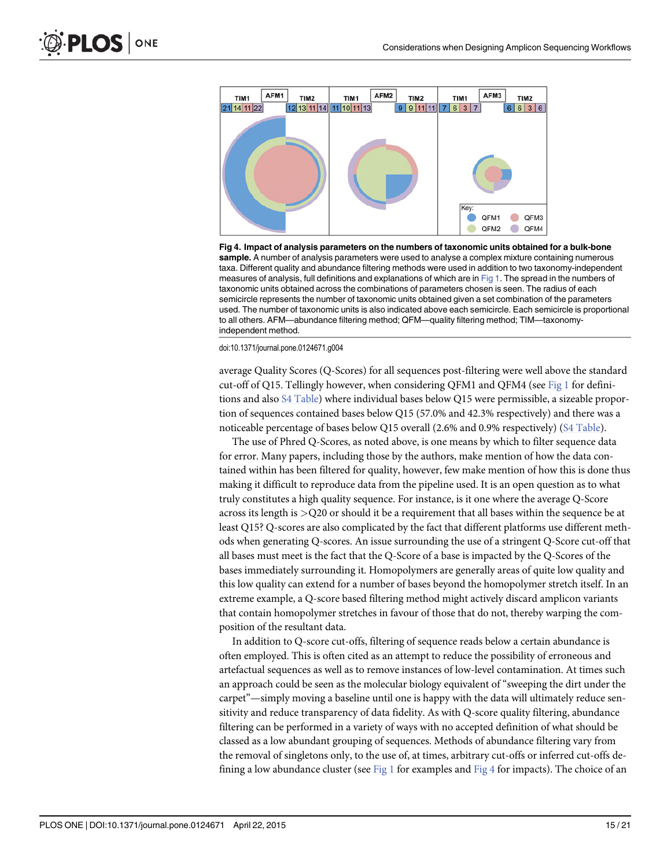<span id="page-14-0"></span>

[Fig 4. I](#page-1-0)mpact of analysis parameters on the numbers of taxonomic units obtained for a bulk-bone sample. A number of analysis parameters were used to analyse a complex mixture containing numerous taxa. Different quality and abundance filtering methods were used in addition to two taxonomy-independent measures of analysis, full definitions and explanations of which are in [Fig 1](#page-3-0). The spread in the numbers of taxonomic units obtained across the combinations of parameters chosen is seen. The radius of each semicircle represents the number of taxonomic units obtained given a set combination of the parameters used. The number of taxonomic units is also indicated above each semicircle. Each semicircle is proportional to all others. AFM—abundance filtering method; QFM—quality filtering method; TIM—taxonomyindependent method.

doi:10.1371/journal.pone.0124671.g004

average Quality Scores (Q-Scores) for all sequences post-filtering were well above the standard cut-off of Q15. Tellingly however, when considering QFM1 and QFM4 (see [Fig 1](#page-3-0) for definitions and also [S4 Table\)](#page-16-0) where individual bases below Q15 were permissible, a sizeable proportion of sequences contained bases below Q15 (57.0% and 42.3% respectively) and there was a noticeable percentage of bases below Q15 overall (2.6% and 0.9% respectively) [\(S4 Table\)](#page-16-0).

The use of Phred Q-Scores, as noted above, is one means by which to filter sequence data for error. Many papers, including those by the authors, make mention of how the data contained within has been filtered for quality, however, few make mention of how this is done thus making it difficult to reproduce data from the pipeline used. It is an open question as to what truly constitutes a high quality sequence. For instance, is it one where the average Q-Score across its length is  $>Q$ 20 or should it be a requirement that all bases within the sequence be at least Q15? Q-scores are also complicated by the fact that different platforms use different methods when generating Q-scores. An issue surrounding the use of a stringent Q-Score cut-off that all bases must meet is the fact that the Q-Score of a base is impacted by the Q-Scores of the bases immediately surrounding it. Homopolymers are generally areas of quite low quality and this low quality can extend for a number of bases beyond the homopolymer stretch itself. In an extreme example, a Q-score based filtering method might actively discard amplicon variants that contain homopolymer stretches in favour of those that do not, thereby warping the composition of the resultant data.

In addition to Q-score cut-offs, filtering of sequence reads below a certain abundance is often employed. This is often cited as an attempt to reduce the possibility of erroneous and artefactual sequences as well as to remove instances of low-level contamination. At times such an approach could be seen as the molecular biology equivalent of "sweeping the dirt under the carpet"—simply moving a baseline until one is happy with the data will ultimately reduce sensitivity and reduce transparency of data fidelity. As with Q-score quality filtering, abundance filtering can be performed in a variety of ways with no accepted definition of what should be classed as a low abundant grouping of sequences. Methods of abundance filtering vary from the removal of singletons only, to the use of, at times, arbitrary cut-offs or inferred cut-offs de-fining a low abundance cluster (see [Fig 1](#page-3-0) for examples and Fig 4 for impacts). The choice of an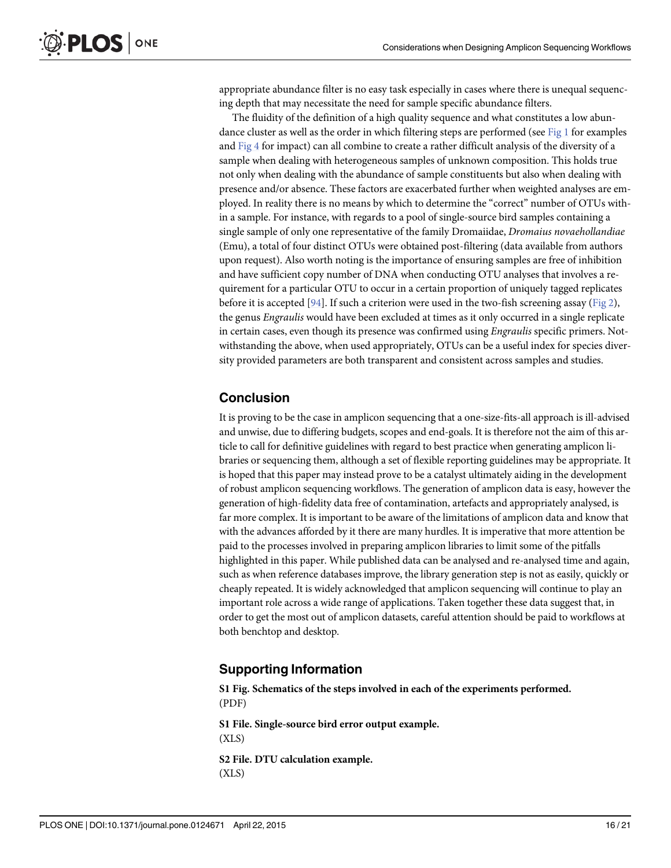<span id="page-15-0"></span>appropriate abundance filter is no easy task especially in cases where there is unequal sequencing depth that may necessitate the need for sample specific abundance filters.

The fluidity of the definition of a high quality sequence and what constitutes a low abun-dance cluster as well as the order in which filtering steps are performed (see [Fig 1](#page-3-0) for examples and [Fig 4](#page-14-0) for impact) can all combine to create a rather difficult analysis of the diversity of a sample when dealing with heterogeneous samples of unknown composition. This holds true not only when dealing with the abundance of sample constituents but also when dealing with presence and/or absence. These factors are exacerbated further when weighted analyses are employed. In reality there is no means by which to determine the "correct" number of OTUs within a sample. For instance, with regards to a pool of single-source bird samples containing a single sample of only one representative of the family Dromaiidae, Dromaius novaehollandiae (Emu), a total of four distinct OTUs were obtained post-filtering (data available from authors upon request). Also worth noting is the importance of ensuring samples are free of inhibition and have sufficient copy number of DNA when conducting OTU analyses that involves a requirement for a particular OTU to occur in a certain proportion of uniquely tagged replicates before it is accepted [[94](#page-20-0)]. If such a criterion were used in the two-fish screening assay ([Fig 2](#page-7-0)), the genus Engraulis would have been excluded at times as it only occurred in a single replicate in certain cases, even though its presence was confirmed using *Engraulis* specific primers. Notwithstanding the above, when used appropriately, OTUs can be a useful index for species diversity provided parameters are both transparent and consistent across samples and studies.

# Conclusion

It is proving to be the case in amplicon sequencing that a one-size-fits-all approach is ill-advised and unwise, due to differing budgets, scopes and end-goals. It is therefore not the aim of this article to call for definitive guidelines with regard to best practice when generating amplicon libraries or sequencing them, although a set of flexible reporting guidelines may be appropriate. It is hoped that this paper may instead prove to be a catalyst ultimately aiding in the development of robust amplicon sequencing workflows. The generation of amplicon data is easy, however the generation of high-fidelity data free of contamination, artefacts and appropriately analysed, is far more complex. It is important to be aware of the limitations of amplicon data and know that with the advances afforded by it there are many hurdles. It is imperative that more attention be paid to the processes involved in preparing amplicon libraries to limit some of the pitfalls highlighted in this paper. While published data can be analysed and re-analysed time and again, such as when reference databases improve, the library generation step is not as easily, quickly or cheaply repeated. It is widely acknowledged that amplicon sequencing will continue to play an important role across a wide range of applications. Taken together these data suggest that, in order to get the most out of amplicon datasets, careful attention should be paid to workflows at both benchtop and desktop.

# Supporting Information

[S1 Fig.](http://www.plosone.org/article/fetchSingleRepresentation.action?uri=info:doi/10.1371/journal.pone.0124671.s001) Schematics of the steps involved in each of the experiments performed. (PDF)

[S1 File.](http://www.plosone.org/article/fetchSingleRepresentation.action?uri=info:doi/10.1371/journal.pone.0124671.s002) Single-source bird error output example. (XLS)

[S2 File.](http://www.plosone.org/article/fetchSingleRepresentation.action?uri=info:doi/10.1371/journal.pone.0124671.s003) DTU calculation example. (XLS)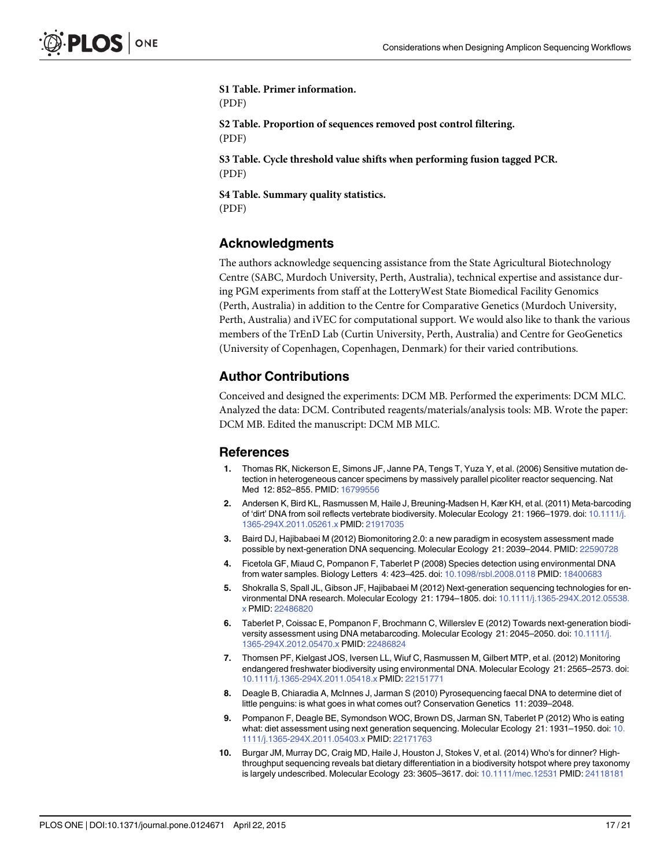<span id="page-16-0"></span>[S1 Table](http://www.plosone.org/article/fetchSingleRepresentation.action?uri=info:doi/10.1371/journal.pone.0124671.s004). Primer information. (PDF) [S2 Table](http://www.plosone.org/article/fetchSingleRepresentation.action?uri=info:doi/10.1371/journal.pone.0124671.s005). Proportion of sequences removed post control filtering. (PDF) [S3 Table](http://www.plosone.org/article/fetchSingleRepresentation.action?uri=info:doi/10.1371/journal.pone.0124671.s006). Cycle threshold value shifts when performing fusion tagged PCR. (PDF) [S4 Table](http://www.plosone.org/article/fetchSingleRepresentation.action?uri=info:doi/10.1371/journal.pone.0124671.s007). Summary quality statistics. (PDF)

# Acknowledgments

The authors acknowledge sequencing assistance from the State Agricultural Biotechnology Centre (SABC, Murdoch University, Perth, Australia), technical expertise and assistance during PGM experiments from staff at the LotteryWest State Biomedical Facility Genomics (Perth, Australia) in addition to the Centre for Comparative Genetics (Murdoch University, Perth, Australia) and iVEC for computational support. We would also like to thank the various members of the TrEnD Lab (Curtin University, Perth, Australia) and Centre for GeoGenetics (University of Copenhagen, Copenhagen, Denmark) for their varied contributions.

# Author Contributions

Conceived and designed the experiments: DCM MB. Performed the experiments: DCM MLC. Analyzed the data: DCM. Contributed reagents/materials/analysis tools: MB. Wrote the paper: DCM MB. Edited the manuscript: DCM MB MLC.

#### **References**

- [1.](#page-0-0) Thomas RK, Nickerson E, Simons JF, Janne PA, Tengs T, Yuza Y, et al. (2006) Sensitive mutation detection in heterogeneous cancer specimens by massively parallel picoliter reactor sequencing. Nat Med 12: 852–855. PMID: [16799556](http://www.ncbi.nlm.nih.gov/pubmed/16799556)
- [2.](#page-0-0) Andersen K, Bird KL, Rasmussen M, Haile J, Breuning-Madsen H, Kær KH, et al. (2011) Meta-barcoding of 'dirt' DNA from soil reflects vertebrate biodiversity. Molecular Ecology 21: 1966–1979. doi: [10.1111/j.](http://dx.doi.org/10.1111/j.1365-294X.2011.05261.x) [1365-294X.2011.05261.x](http://dx.doi.org/10.1111/j.1365-294X.2011.05261.x) PMID: [21917035](http://www.ncbi.nlm.nih.gov/pubmed/21917035)
- [3.](#page-1-0) Baird DJ, Hajibabaei M (2012) Biomonitoring 2.0: a new paradigm in ecosystem assessment made possible by next-generation DNA sequencing. Molecular Ecology 21: 2039–2044. PMID: [22590728](http://www.ncbi.nlm.nih.gov/pubmed/22590728)
- [4.](#page-8-0) Ficetola GF, Miaud C, Pompanon F, Taberlet P (2008) Species detection using environmental DNA from water samples. Biology Letters 4: 423–425. doi: [10.1098/rsbl.2008.0118](http://dx.doi.org/10.1098/rsbl.2008.0118) PMID: [18400683](http://www.ncbi.nlm.nih.gov/pubmed/18400683)
- [5.](#page-1-0) Shokralla S, Spall JL, Gibson JF, Hajibabaei M (2012) Next-generation sequencing technologies for environmental DNA research. Molecular Ecology 21: 1794–1805. doi: [10.1111/j.1365-294X.2012.05538.](http://dx.doi.org/10.1111/j.1365-294X.2012.05538.x) [x](http://dx.doi.org/10.1111/j.1365-294X.2012.05538.x) PMID: [22486820](http://www.ncbi.nlm.nih.gov/pubmed/22486820)
- [6.](#page-1-0) Taberlet P, Coissac E, Pompanon F, Brochmann C, Willerslev E (2012) Towards next-generation biodiversity assessment using DNA metabarcoding. Molecular Ecology 21: 2045–2050. doi: [10.1111/j.](http://dx.doi.org/10.1111/j.1365-294X.2012.05470.x) [1365-294X.2012.05470.x](http://dx.doi.org/10.1111/j.1365-294X.2012.05470.x) PMID: [22486824](http://www.ncbi.nlm.nih.gov/pubmed/22486824)
- [7.](#page-0-0) Thomsen PF, Kielgast JOS, Iversen LL, Wiuf C, Rasmussen M, Gilbert MTP, et al. (2012) Monitoring endangered freshwater biodiversity using environmental DNA. Molecular Ecology 21: 2565–2573. doi: [10.1111/j.1365-294X.2011.05418.x](http://dx.doi.org/10.1111/j.1365-294X.2011.05418.x) PMID: [22151771](http://www.ncbi.nlm.nih.gov/pubmed/22151771)
- [8.](#page-0-0) Deagle B, Chiaradia A, McInnes J, Jarman S (2010) Pyrosequencing faecal DNA to determine diet of little penguins: is what goes in what comes out? Conservation Genetics 11: 2039–2048.
- [9.](#page-1-0) Pompanon F, Deagle BE, Symondson WOC, Brown DS, Jarman SN, Taberlet P (2012) Who is eating what: diet assessment using next generation sequencing. Molecular Ecology 21: 1931-1950. doi: [10.](http://dx.doi.org/10.1111/j.1365-294X.2011.05403.x) [1111/j.1365-294X.2011.05403.x](http://dx.doi.org/10.1111/j.1365-294X.2011.05403.x) PMID: [22171763](http://www.ncbi.nlm.nih.gov/pubmed/22171763)
- 10. Burgar JM, Murray DC, Craig MD, Haile J, Houston J, Stokes V, et al. (2014) Who's for dinner? Highthroughput sequencing reveals bat dietary differentiation in a biodiversity hotspot where prey taxonomy is largely undescribed. Molecular Ecology 23: 3605-3617. doi: [10.1111/mec.12531](http://dx.doi.org/10.1111/mec.12531) PMID: [24118181](http://www.ncbi.nlm.nih.gov/pubmed/24118181)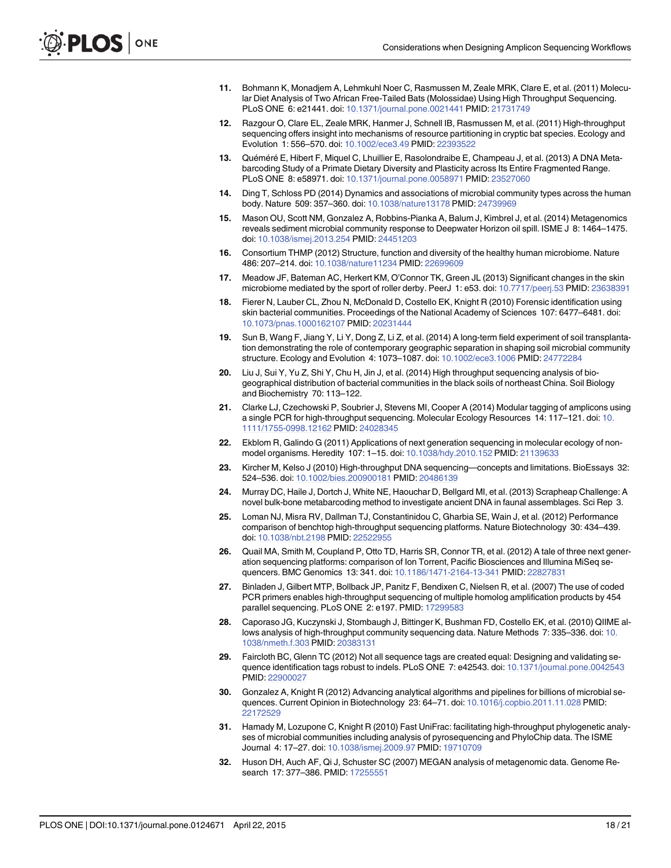- <span id="page-17-0"></span>11. Bohmann K, Monadjem A, Lehmkuhl Noer C, Rasmussen M, Zeale MRK, Clare E, et al. (2011) Molecular Diet Analysis of Two African Free-Tailed Bats (Molossidae) Using High Throughput Sequencing. PLoS ONE 6: e21441. doi: [10.1371/journal.pone.0021441](http://dx.doi.org/10.1371/journal.pone.0021441) PMID: [21731749](http://www.ncbi.nlm.nih.gov/pubmed/21731749)
- 12. Razgour O, Clare EL, Zeale MRK, Hanmer J, Schnell IB, Rasmussen M, et al. (2011) High-throughput sequencing offers insight into mechanisms of resource partitioning in cryptic bat species. Ecology and Evolution 1: 556–570. doi: [10.1002/ece3.49](http://dx.doi.org/10.1002/ece3.49) PMID: [22393522](http://www.ncbi.nlm.nih.gov/pubmed/22393522)
- [13.](#page-0-0) Quéméré E, Hibert F, Miquel C, Lhuillier E, Rasolondraibe E, Champeau J, et al. (2013) A DNA Metabarcoding Study of a Primate Dietary Diversity and Plasticity across Its Entire Fragmented Range. PLoS ONE 8: e58971. doi: [10.1371/journal.pone.0058971](http://dx.doi.org/10.1371/journal.pone.0058971) PMID: [23527060](http://www.ncbi.nlm.nih.gov/pubmed/23527060)
- [14.](#page-0-0) Ding T, Schloss PD (2014) Dynamics and associations of microbial community types across the human body. Nature 509: 357–360. doi: [10.1038/nature13178](http://dx.doi.org/10.1038/nature13178) PMID: [24739969](http://www.ncbi.nlm.nih.gov/pubmed/24739969)
- 15. Mason OU, Scott NM, Gonzalez A, Robbins-Pianka A, Balum J, Kimbrel J, et al. (2014) Metagenomics reveals sediment microbial community response to Deepwater Horizon oil spill. ISME J 8: 1464–1475. doi: [10.1038/ismej.2013.254](http://dx.doi.org/10.1038/ismej.2013.254) PMID: [24451203](http://www.ncbi.nlm.nih.gov/pubmed/24451203)
- 16. Consortium THMP (2012) Structure, function and diversity of the healthy human microbiome. Nature 486: 207–214. doi: [10.1038/nature11234](http://dx.doi.org/10.1038/nature11234) PMID: [22699609](http://www.ncbi.nlm.nih.gov/pubmed/22699609)
- 17. Meadow JF, Bateman AC, Herkert KM, O'Connor TK, Green JL (2013) Significant changes in the skin microbiome mediated by the sport of roller derby. PeerJ 1: e53. doi: [10.7717/peerj.53](http://dx.doi.org/10.7717/peerj.53) PMID: [23638391](http://www.ncbi.nlm.nih.gov/pubmed/23638391)
- 18. Fierer N, Lauber CL, Zhou N, McDonald D, Costello EK, Knight R (2010) Forensic identification using skin bacterial communities. Proceedings of the National Academy of Sciences 107: 6477–6481. doi: [10.1073/pnas.1000162107](http://dx.doi.org/10.1073/pnas.1000162107) PMID: [20231444](http://www.ncbi.nlm.nih.gov/pubmed/20231444)
- 19. Sun B, Wang F, Jiang Y, Li Y, Dong Z, Li Z, et al. (2014) A long-term field experiment of soil transplantation demonstrating the role of contemporary geographic separation in shaping soil microbial community structure. Ecology and Evolution 4: 1073–1087. doi: [10.1002/ece3.1006](http://dx.doi.org/10.1002/ece3.1006) PMID: [24772284](http://www.ncbi.nlm.nih.gov/pubmed/24772284)
- [20.](#page-0-0) Liu J, Sui Y, Yu Z, Shi Y, Chu H, Jin J, et al. (2014) High throughput sequencing analysis of biogeographical distribution of bacterial communities in the black soils of northeast China. Soil Biology and Biochemistry 70: 113–122.
- [21.](#page-1-0) Clarke LJ, Czechowski P, Soubrier J, Stevens MI, Cooper A (2014) Modular tagging of amplicons using a single PCR for high-throughput sequencing. Molecular Ecology Resources 14: 117–121. doi: [10.](http://dx.doi.org/10.1111/1755-0998.12162) [1111/1755-0998.12162](http://dx.doi.org/10.1111/1755-0998.12162) PMID: [24028345](http://www.ncbi.nlm.nih.gov/pubmed/24028345)
- 22. Ekblom R, Galindo G (2011) Applications of next generation sequencing in molecular ecology of nonmodel organisms. Heredity 107: 1–15. doi: [10.1038/hdy.2010.152](http://dx.doi.org/10.1038/hdy.2010.152) PMID: [21139633](http://www.ncbi.nlm.nih.gov/pubmed/21139633)
- 23. Kircher M, Kelso J (2010) High-throughput DNA sequencing—concepts and limitations. BioEssays 32: 524–536. doi: [10.1002/bies.200900181](http://dx.doi.org/10.1002/bies.200900181) PMID: [20486139](http://www.ncbi.nlm.nih.gov/pubmed/20486139)
- [24.](#page-1-0) Murray DC, Haile J, Dortch J, White NE, Haouchar D, Bellgard MI, et al. (2013) Scrapheap Challenge: A novel bulk-bone metabarcoding method to investigate ancient DNA in faunal assemblages. Sci Rep 3.
- [25.](#page-1-0) Loman NJ, Misra RV, Dallman TJ, Constantinidou C, Gharbia SE, Wain J, et al. (2012) Performance comparison of benchtop high-throughput sequencing platforms. Nature Biotechnology 30: 434–439. doi: [10.1038/nbt.2198](http://dx.doi.org/10.1038/nbt.2198) PMID: [22522955](http://www.ncbi.nlm.nih.gov/pubmed/22522955)
- [26.](#page-1-0) Quail MA, Smith M, Coupland P, Otto TD, Harris SR, Connor TR, et al. (2012) A tale of three next generation sequencing platforms: comparison of Ion Torrent, Pacific Biosciences and Illumina MiSeq sequencers. BMC Genomics 13: 341. doi: [10.1186/1471-2164-13-341](http://dx.doi.org/10.1186/1471-2164-13-341) PMID: [22827831](http://www.ncbi.nlm.nih.gov/pubmed/22827831)
- [27.](#page-1-0) Binladen J, Gilbert MTP, Bollback JP, Panitz F, Bendixen C, Nielsen R, et al. (2007) The use of coded PCR primers enables high-throughput sequencing of multiple homolog amplification products by 454 parallel sequencing. PLoS ONE 2: e197. PMID: [17299583](http://www.ncbi.nlm.nih.gov/pubmed/17299583)
- [28.](#page-13-0) Caporaso JG, Kuczynski J, Stombaugh J, Bittinger K, Bushman FD, Costello EK, et al. (2010) QIIME al-lows analysis of high-throughput community sequencing data. Nature Methods 7: 335–336. doi: [10.](http://dx.doi.org/10.1038/nmeth.f.303) [1038/nmeth.f.303](http://dx.doi.org/10.1038/nmeth.f.303) PMID: [20383131](http://www.ncbi.nlm.nih.gov/pubmed/20383131)
- 29. Faircloth BC, Glenn TC (2012) Not all sequence tags are created equal: Designing and validating se-quence identification tags robust to indels. PLoS ONE 7: e42543. doi: [10.1371/journal.pone.0042543](http://dx.doi.org/10.1371/journal.pone.0042543) PMID: [22900027](http://www.ncbi.nlm.nih.gov/pubmed/22900027)
- 30. Gonzalez A, Knight R (2012) Advancing analytical algorithms and pipelines for billions of microbial sequences. Current Opinion in Biotechnology 23: 64–71. doi: [10.1016/j.copbio.2011.11.028](http://dx.doi.org/10.1016/j.copbio.2011.11.028) PMID: [22172529](http://www.ncbi.nlm.nih.gov/pubmed/22172529)
- 31. Hamady M, Lozupone C, Knight R (2010) Fast UniFrac: facilitating high-throughput phylogenetic analyses of microbial communities including analysis of pyrosequencing and PhyloChip data. The ISME Journal 4: 17–27. doi: [10.1038/ismej.2009.97](http://dx.doi.org/10.1038/ismej.2009.97) PMID: [19710709](http://www.ncbi.nlm.nih.gov/pubmed/19710709)
- [32.](#page-4-0) Huson DH, Auch AF, Qi J, Schuster SC (2007) MEGAN analysis of metagenomic data. Genome Research 17: 377–386. PMID: [17255551](http://www.ncbi.nlm.nih.gov/pubmed/17255551)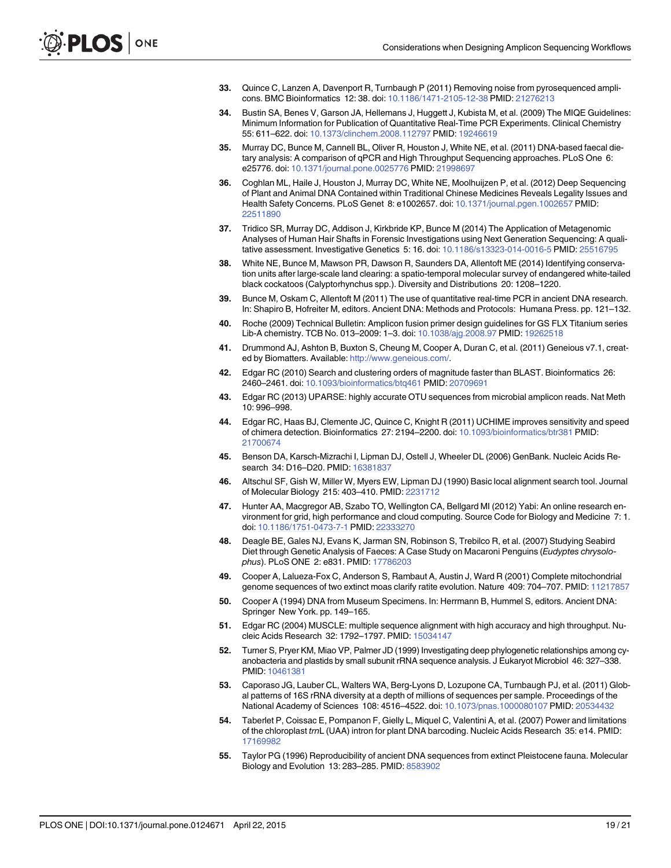- <span id="page-18-0"></span>[33.](#page-1-0) Quince C, Lanzen A, Davenport R, Turnbaugh P (2011) Removing noise from pyrosequenced amplicons. BMC Bioinformatics 12: 38. doi: [10.1186/1471-2105-12-38](http://dx.doi.org/10.1186/1471-2105-12-38) PMID: [21276213](http://www.ncbi.nlm.nih.gov/pubmed/21276213)
- [34.](#page-1-0) Bustin SA, Benes V, Garson JA, Hellemans J, Huggett J, Kubista M, et al. (2009) The MIQE Guidelines: Minimum Information for Publication of Quantitative Real-Time PCR Experiments. Clinical Chemistry 55: 611–622. doi: [10.1373/clinchem.2008.112797](http://dx.doi.org/10.1373/clinchem.2008.112797) PMID: [19246619](http://www.ncbi.nlm.nih.gov/pubmed/19246619)
- [35.](#page-2-0) Murray DC, Bunce M, Cannell BL, Oliver R, Houston J, White NE, et al. (2011) DNA-based faecal dietary analysis: A comparison of qPCR and High Throughput Sequencing approaches. PLoS One 6: e25776. doi: [10.1371/journal.pone.0025776](http://dx.doi.org/10.1371/journal.pone.0025776) PMID: [21998697](http://www.ncbi.nlm.nih.gov/pubmed/21998697)
- [36.](#page-5-0) Coghlan ML, Haile J, Houston J, Murray DC, White NE, Moolhuijzen P, et al. (2012) Deep Sequencing of Plant and Animal DNA Contained within Traditional Chinese Medicines Reveals Legality Issues and Health Safety Concerns. PLoS Genet 8: e1002657. doi: [10.1371/journal.pgen.1002657](http://dx.doi.org/10.1371/journal.pgen.1002657) PMID: [22511890](http://www.ncbi.nlm.nih.gov/pubmed/22511890)
- [37.](#page-5-0) Tridico SR, Murray DC, Addison J, Kirkbride KP, Bunce M (2014) The Application of Metagenomic Analyses of Human Hair Shafts in Forensic Investigations using Next Generation Sequencing: A qualitative assessment. Investigative Genetics 5: 16. doi: [10.1186/s13323-014-0016-5](http://dx.doi.org/10.1186/s13323-014-0016-5) PMID: [25516795](http://www.ncbi.nlm.nih.gov/pubmed/25516795)
- [38.](#page-2-0) White NE, Bunce M, Mawson PR, Dawson R, Saunders DA, Allentoft ME (2014) Identifying conservation units after large-scale land clearing: a spatio-temporal molecular survey of endangered white-tailed black cockatoos (Calyptorhynchus spp.). Diversity and Distributions 20: 1208–1220.
- [39.](#page-2-0) Bunce M, Oskam C, Allentoft M (2011) The use of quantitative real-time PCR in ancient DNA research. In: Shapiro B, Hofreiter M, editors. Ancient DNA: Methods and Protocols: Humana Press. pp. 121–132.
- [40.](#page-2-0) Roche (2009) Technical Bulletin: Amplicon fusion primer design guidelines for GS FLX Titanium series Lib-A chemistry. TCB No. 013–2009: 1–3. doi: [10.1038/ajg.2008.97](http://dx.doi.org/10.1038/ajg.2008.97) PMID: [19262518](http://www.ncbi.nlm.nih.gov/pubmed/19262518)
- [41.](#page-3-0) Drummond AJ, Ashton B, Buxton S, Cheung M, Cooper A, Duran C, et al. (2011) Geneious v7.1, created by Biomatters. Available: [http://www.geneious.com/.](http://www.geneious.com/)
- [42.](#page-3-0) Edgar RC (2010) Search and clustering orders of magnitude faster than BLAST. Bioinformatics 26: 2460–2461. doi: [10.1093/bioinformatics/btq461](http://dx.doi.org/10.1093/bioinformatics/btq461) PMID: [20709691](http://www.ncbi.nlm.nih.gov/pubmed/20709691)
- [43.](#page-3-0) Edgar RC (2013) UPARSE: highly accurate OTU sequences from microbial amplicon reads. Nat Meth 10: 996–998.
- [44.](#page-3-0) Edgar RC, Haas BJ, Clemente JC, Quince C, Knight R (2011) UCHIME improves sensitivity and speed of chimera detection. Bioinformatics 27: 2194–2200. doi: [10.1093/bioinformatics/btr381](http://dx.doi.org/10.1093/bioinformatics/btr381) PMID: [21700674](http://www.ncbi.nlm.nih.gov/pubmed/21700674)
- [45.](#page-3-0) Benson DA, Karsch-Mizrachi I, Lipman DJ, Ostell J, Wheeler DL (2006) GenBank. Nucleic Acids Research 34: D16–D20. PMID: [16381837](http://www.ncbi.nlm.nih.gov/pubmed/16381837)
- [46.](#page-3-0) Altschul SF, Gish W, Miller W, Myers EW, Lipman DJ (1990) Basic local alignment search tool. Journal of Molecular Biology 215: 403–410. PMID: [2231712](http://www.ncbi.nlm.nih.gov/pubmed/2231712)
- [47.](#page-3-0) Hunter AA, Macgregor AB, Szabo TO, Wellington CA, Bellgard MI (2012) Yabi: An online research environment for grid, high performance and cloud computing. Source Code for Biology and Medicine 7: 1. doi: [10.1186/1751-0473-7-1](http://dx.doi.org/10.1186/1751-0473-7-1) PMID: [22333270](http://www.ncbi.nlm.nih.gov/pubmed/22333270)
- [48.](#page-4-0) Deagle BE, Gales NJ, Evans K, Jarman SN, Robinson S, Trebilco R, et al. (2007) Studying Seabird Diet through Genetic Analysis of Faeces: A Case Study on Macaroni Penguins (Eudyptes chrysolophus). PLoS ONE 2: e831. PMID: [17786203](http://www.ncbi.nlm.nih.gov/pubmed/17786203)
- [49.](#page-4-0) Cooper A, Lalueza-Fox C, Anderson S, Rambaut A, Austin J, Ward R (2001) Complete mitochondrial genome sequences of two extinct moas clarify ratite evolution. Nature 409: 704–707. PMID: [11217857](http://www.ncbi.nlm.nih.gov/pubmed/11217857)
- [50.](#page-4-0) Cooper A (1994) DNA from Museum Specimens. In: Herrmann B, Hummel S, editors. Ancient DNA: Springer New York. pp. 149–165.
- [51.](#page-4-0) Edgar RC (2004) MUSCLE: multiple sequence alignment with high accuracy and high throughput. Nucleic Acids Research 32: 1792–1797. PMID: [15034147](http://www.ncbi.nlm.nih.gov/pubmed/15034147)
- [52.](#page-5-0) Turner S, Pryer KM, Miao VP, Palmer JD (1999) Investigating deep phylogenetic relationships among cyanobacteria and plastids by small subunit rRNA sequence analysis. J Eukaryot Microbiol 46: 327–338. PMID: [10461381](http://www.ncbi.nlm.nih.gov/pubmed/10461381)
- [53.](#page-5-0) Caporaso JG, Lauber CL, Walters WA, Berg-Lyons D, Lozupone CA, Turnbaugh PJ, et al. (2011) Global patterns of 16S rRNA diversity at a depth of millions of sequences per sample. Proceedings of the National Academy of Sciences 108: 4516–4522. doi: [10.1073/pnas.1000080107](http://dx.doi.org/10.1073/pnas.1000080107) PMID: [20534432](http://www.ncbi.nlm.nih.gov/pubmed/20534432)
- [54.](#page-5-0) Taberlet P, Coissac E, Pompanon F, Gielly L, Miquel C, Valentini A, et al. (2007) Power and limitations of the chloroplast trnL (UAA) intron for plant DNA barcoding. Nucleic Acids Research 35: e14. PMID: [17169982](http://www.ncbi.nlm.nih.gov/pubmed/17169982)
- [55.](#page-6-0) Taylor PG (1996) Reproducibility of ancient DNA sequences from extinct Pleistocene fauna. Molecular Biology and Evolution 13: 283–285. PMID: [8583902](http://www.ncbi.nlm.nih.gov/pubmed/8583902)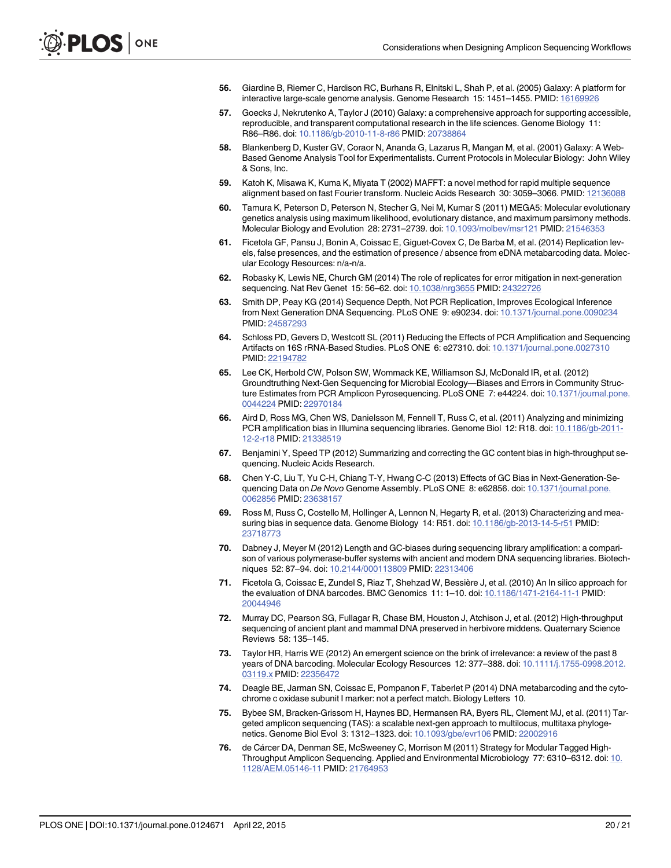- <span id="page-19-0"></span>[56.](#page-6-0) Giardine B, Riemer C, Hardison RC, Burhans R, Elnitski L, Shah P, et al. (2005) Galaxy: A platform for interactive large-scale genome analysis. Genome Research 15: 1451–1455. PMID: [16169926](http://www.ncbi.nlm.nih.gov/pubmed/16169926)
- 57. Goecks J, Nekrutenko A, Taylor J (2010) Galaxy: a comprehensive approach for supporting accessible, reproducible, and transparent computational research in the life sciences. Genome Biology 11: R86–R86. doi: [10.1186/gb-2010-11-8-r86](http://dx.doi.org/10.1186/gb-2010-11-8-r86) PMID: [20738864](http://www.ncbi.nlm.nih.gov/pubmed/20738864)
- [58.](#page-6-0) Blankenberg D, Kuster GV, Coraor N, Ananda G, Lazarus R, Mangan M, et al. (2001) Galaxy: A Web-Based Genome Analysis Tool for Experimentalists. Current Protocols in Molecular Biology: John Wiley & Sons, Inc.
- [59.](#page-6-0) Katoh K, Misawa K, Kuma K, Miyata T (2002) MAFFT: a novel method for rapid multiple sequence alignment based on fast Fourier transform. Nucleic Acids Research 30: 3059–3066. PMID: [12136088](http://www.ncbi.nlm.nih.gov/pubmed/12136088)
- [60.](#page-6-0) Tamura K, Peterson D, Peterson N, Stecher G, Nei M, Kumar S (2011) MEGA5: Molecular evolutionary genetics analysis using maximum likelihood, evolutionary distance, and maximum parsimony methods. Molecular Biology and Evolution 28: 2731–2739. doi: [10.1093/molbev/msr121](http://dx.doi.org/10.1093/molbev/msr121) PMID: [21546353](http://www.ncbi.nlm.nih.gov/pubmed/21546353)
- [61.](#page-8-0) Ficetola GF, Pansu J, Bonin A, Coissac E, Giguet-Covex C, De Barba M, et al. (2014) Replication levels, false presences, and the estimation of presence / absence from eDNA metabarcoding data. Molecular Ecology Resources: n/a-n/a.
- [62.](#page-8-0) Robasky K, Lewis NE, Church GM (2014) The role of replicates for error mitigation in next-generation sequencing. Nat Rev Genet 15: 56–62. doi: [10.1038/nrg3655](http://dx.doi.org/10.1038/nrg3655) PMID: [24322726](http://www.ncbi.nlm.nih.gov/pubmed/24322726)
- [63.](#page-8-0) Smith DP, Peay KG (2014) Sequence Depth, Not PCR Replication, Improves Ecological Inference from Next Generation DNA Sequencing. PLoS ONE 9: e90234. doi: [10.1371/journal.pone.0090234](http://dx.doi.org/10.1371/journal.pone.0090234) PMID: [24587293](http://www.ncbi.nlm.nih.gov/pubmed/24587293)
- [64.](#page-8-0) Schloss PD, Gevers D, Westcott SL (2011) Reducing the Effects of PCR Amplification and Sequencing Artifacts on 16S rRNA-Based Studies. PLoS ONE 6: e27310. doi: [10.1371/journal.pone.0027310](http://dx.doi.org/10.1371/journal.pone.0027310) PMID: [22194782](http://www.ncbi.nlm.nih.gov/pubmed/22194782)
- 65. Lee CK, Herbold CW, Polson SW, Wommack KE, Williamson SJ, McDonald IR, et al. (2012) Groundtruthing Next-Gen Sequencing for Microbial Ecology—Biases and Errors in Community Structure Estimates from PCR Amplicon Pyrosequencing. PLoS ONE 7: e44224. doi: [10.1371/journal.pone.](http://dx.doi.org/10.1371/journal.pone.0044224) [0044224](http://dx.doi.org/10.1371/journal.pone.0044224) PMID: [22970184](http://www.ncbi.nlm.nih.gov/pubmed/22970184)
- [66.](#page-8-0) Aird D, Ross MG, Chen WS, Danielsson M, Fennell T, Russ C, et al. (2011) Analyzing and minimizing PCR amplification bias in Illumina sequencing libraries. Genome Biol 12: R18. doi: [10.1186/gb-2011-](http://dx.doi.org/10.1186/gb-2011-12-2-r18) [12-2-r18](http://dx.doi.org/10.1186/gb-2011-12-2-r18) PMID: [21338519](http://www.ncbi.nlm.nih.gov/pubmed/21338519)
- [67.](#page-9-0) Benjamini Y, Speed TP (2012) Summarizing and correcting the GC content bias in high-throughput sequencing. Nucleic Acids Research.
- 68. Chen Y-C, Liu T, Yu C-H, Chiang T-Y, Hwang C-C (2013) Effects of GC Bias in Next-Generation-Se-quencing Data on De Novo Genome Assembly. PLoS ONE 8: e62856. doi: [10.1371/journal.pone.](http://dx.doi.org/10.1371/journal.pone.0062856) [0062856](http://dx.doi.org/10.1371/journal.pone.0062856) PMID: [23638157](http://www.ncbi.nlm.nih.gov/pubmed/23638157)
- 69. Ross M, Russ C, Costello M, Hollinger A, Lennon N, Hegarty R, et al. (2013) Characterizing and measuring bias in sequence data. Genome Biology 14: R51. doi: [10.1186/gb-2013-14-5-r51](http://dx.doi.org/10.1186/gb-2013-14-5-r51) PMID: [23718773](http://www.ncbi.nlm.nih.gov/pubmed/23718773)
- [70.](#page-9-0) Dabney J, Meyer M (2012) Length and GC-biases during sequencing library amplification: a comparison of various polymerase-buffer systems with ancient and modern DNA sequencing libraries. Biotechniques 52: 87–94. doi: [10.2144/000113809](http://dx.doi.org/10.2144/000113809) PMID: [22313406](http://www.ncbi.nlm.nih.gov/pubmed/22313406)
- [71.](#page-9-0) Ficetola G, Coissac E, Zundel S, Riaz T, Shehzad W, Bessière J, et al. (2010) An In silico approach for the evaluation of DNA barcodes. BMC Genomics 11: 1–10. doi: [10.1186/1471-2164-11-1](http://dx.doi.org/10.1186/1471-2164-11-1) PMID: [20044946](http://www.ncbi.nlm.nih.gov/pubmed/20044946)
- [72.](#page-10-0) Murray DC, Pearson SG, Fullagar R, Chase BM, Houston J, Atchison J, et al. (2012) High-throughput sequencing of ancient plant and mammal DNA preserved in herbivore middens. Quaternary Science Reviews 58: 135–145.
- [73.](#page-10-0) Taylor HR, Harris WE (2012) An emergent science on the brink of irrelevance: a review of the past 8 years of DNA barcoding. Molecular Ecology Resources 12: 377–388. doi: [10.1111/j.1755-0998.2012.](http://dx.doi.org/10.1111/j.1755-0998.2012.03119.x) [03119.x](http://dx.doi.org/10.1111/j.1755-0998.2012.03119.x) PMID: [22356472](http://www.ncbi.nlm.nih.gov/pubmed/22356472)
- [74.](#page-10-0) Deagle BE, Jarman SN, Coissac E, Pompanon F, Taberlet P (2014) DNA metabarcoding and the cytochrome c oxidase subunit I marker: not a perfect match. Biology Letters 10.
- [75.](#page-10-0) Bybee SM, Bracken-Grissom H, Haynes BD, Hermansen RA, Byers RL, Clement MJ, et al. (2011) Targeted amplicon sequencing (TAS): a scalable next-gen approach to multilocus, multitaxa phylogenetics. Genome Biol Evol 3: 1312–1323. doi: [10.1093/gbe/evr106](http://dx.doi.org/10.1093/gbe/evr106) PMID: [22002916](http://www.ncbi.nlm.nih.gov/pubmed/22002916)
- [76.](#page-10-0) de Cárcer DA, Denman SE, McSweeney C, Morrison M (2011) Strategy for Modular Tagged High-Throughput Amplicon Sequencing. Applied and Environmental Microbiology 77: 6310–6312. doi: [10.](http://dx.doi.org/10.1128/AEM.05146-11) [1128/AEM.05146-11](http://dx.doi.org/10.1128/AEM.05146-11) PMID: [21764953](http://www.ncbi.nlm.nih.gov/pubmed/21764953)